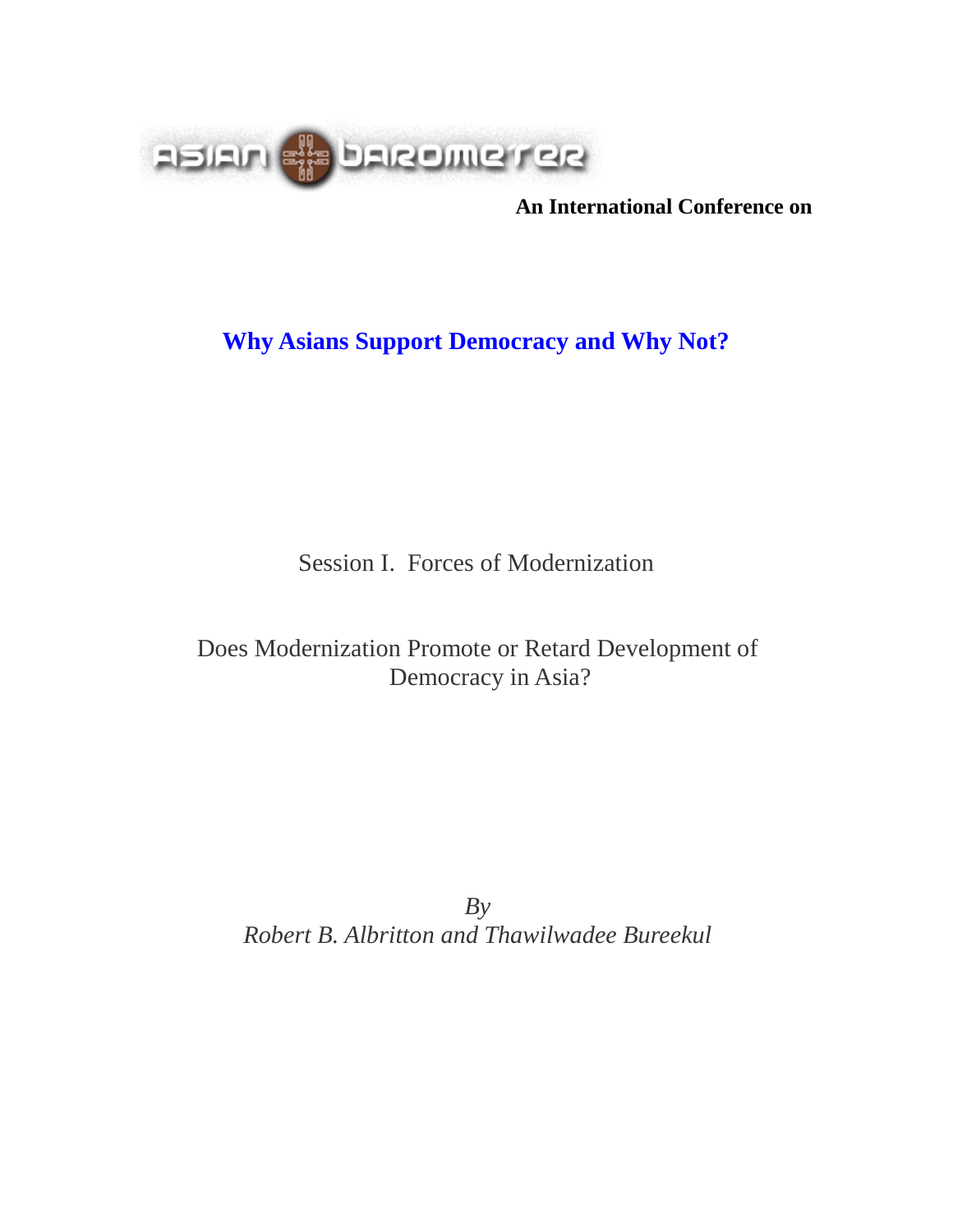

**An International Conference on**

# **Why Asians Support Democracy and Why Not?**

Session I. Forces of Modernization

# Does Modernization Promote or Retard Development of Democracy in Asia?

*By Robert B. Albritton and Thawilwadee Bureekul*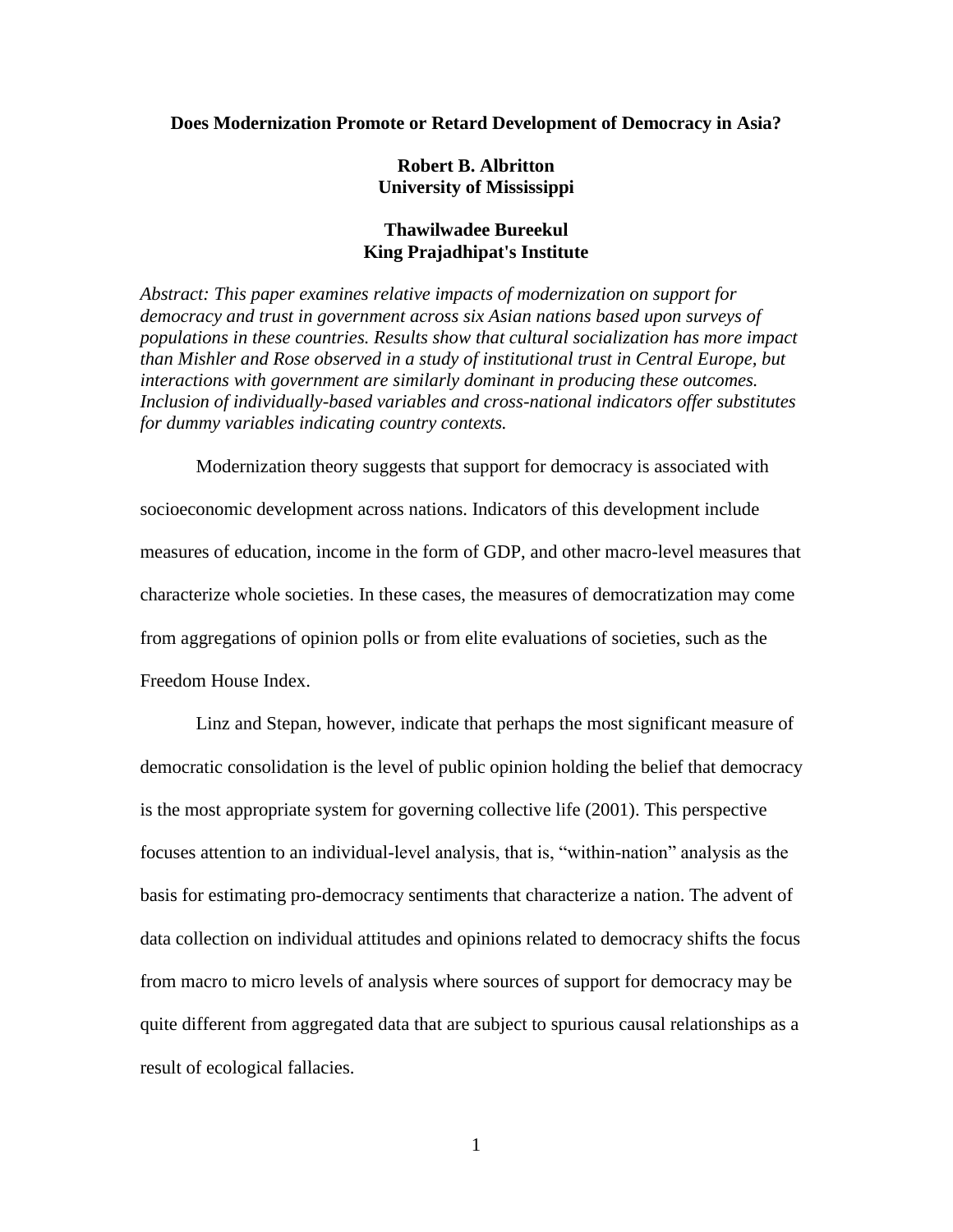#### **Does Modernization Promote or Retard Development of Democracy in Asia?**

## **Robert B. Albritton University of Mississippi**

## **Thawilwadee Bureekul King Prajadhipat's Institute**

*Abstract: This paper examines relative impacts of modernization on support for democracy and trust in government across six Asian nations based upon surveys of populations in these countries. Results show that cultural socialization has more impact than Mishler and Rose observed in a study of institutional trust in Central Europe, but interactions with government are similarly dominant in producing these outcomes. Inclusion of individually-based variables and cross-national indicators offer substitutes for dummy variables indicating country contexts.*

Modernization theory suggests that support for democracy is associated with socioeconomic development across nations. Indicators of this development include measures of education, income in the form of GDP, and other macro-level measures that characterize whole societies. In these cases, the measures of democratization may come from aggregations of opinion polls or from elite evaluations of societies, such as the Freedom House Index.

Linz and Stepan, however, indicate that perhaps the most significant measure of democratic consolidation is the level of public opinion holding the belief that democracy is the most appropriate system for governing collective life (2001). This perspective focuses attention to an individual-level analysis, that is, "within-nation" analysis as the basis for estimating pro-democracy sentiments that characterize a nation. The advent of data collection on individual attitudes and opinions related to democracy shifts the focus from macro to micro levels of analysis where sources of support for democracy may be quite different from aggregated data that are subject to spurious causal relationships as a result of ecological fallacies.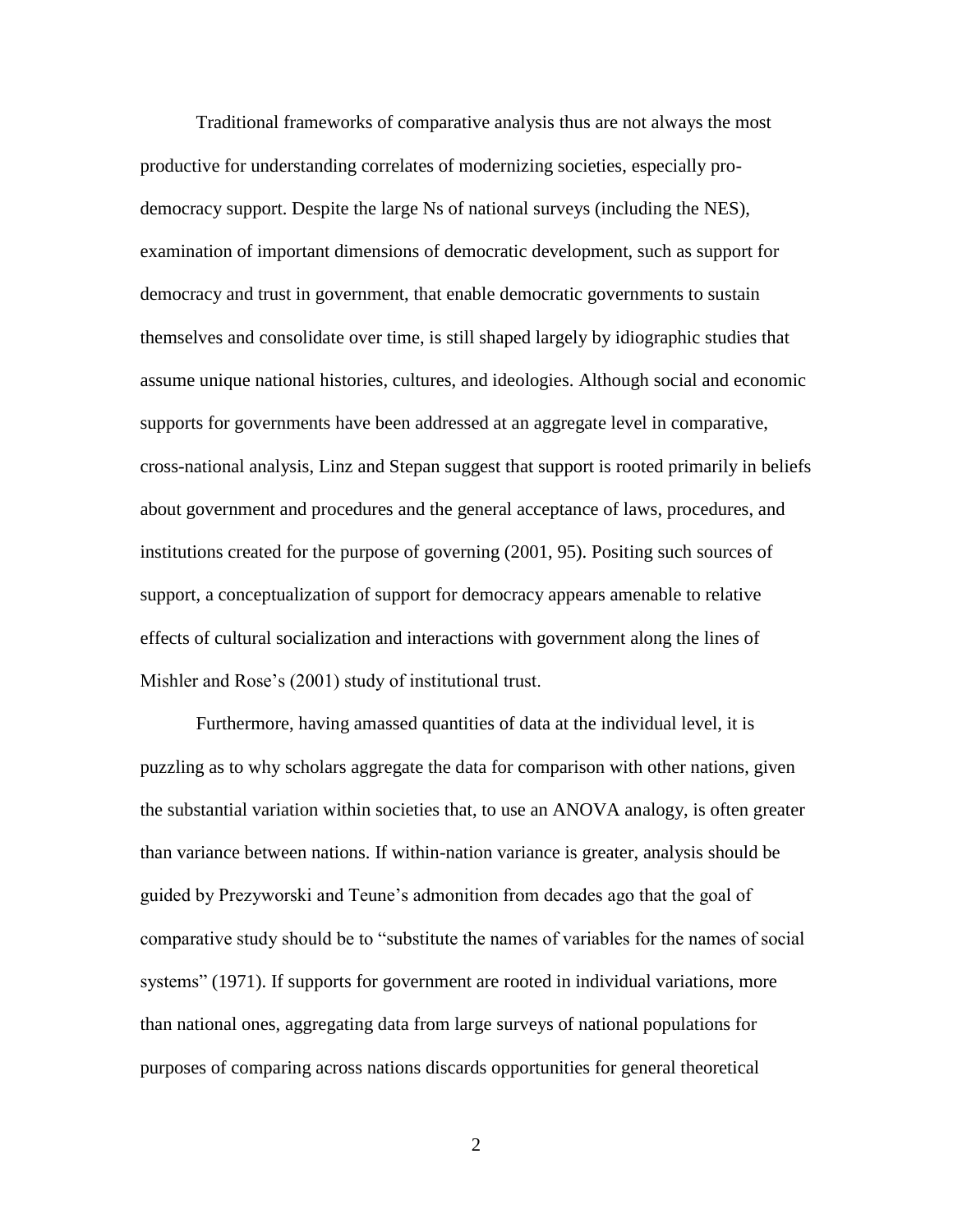Traditional frameworks of comparative analysis thus are not always the most productive for understanding correlates of modernizing societies, especially prodemocracy support. Despite the large Ns of national surveys (including the NES), examination of important dimensions of democratic development, such as support for democracy and trust in government, that enable democratic governments to sustain themselves and consolidate over time, is still shaped largely by idiographic studies that assume unique national histories, cultures, and ideologies. Although social and economic supports for governments have been addressed at an aggregate level in comparative, cross-national analysis, Linz and Stepan suggest that support is rooted primarily in beliefs about government and procedures and the general acceptance of laws, procedures, and institutions created for the purpose of governing (2001, 95). Positing such sources of support, a conceptualization of support for democracy appears amenable to relative effects of cultural socialization and interactions with government along the lines of Mishler and Rose's (2001) study of institutional trust.

Furthermore, having amassed quantities of data at the individual level, it is puzzling as to why scholars aggregate the data for comparison with other nations, given the substantial variation within societies that, to use an ANOVA analogy, is often greater than variance between nations. If within-nation variance is greater, analysis should be guided by Prezyworski and Teune's admonition from decades ago that the goal of comparative study should be to "substitute the names of variables for the names of social systems" (1971). If supports for government are rooted in individual variations, more than national ones, aggregating data from large surveys of national populations for purposes of comparing across nations discards opportunities for general theoretical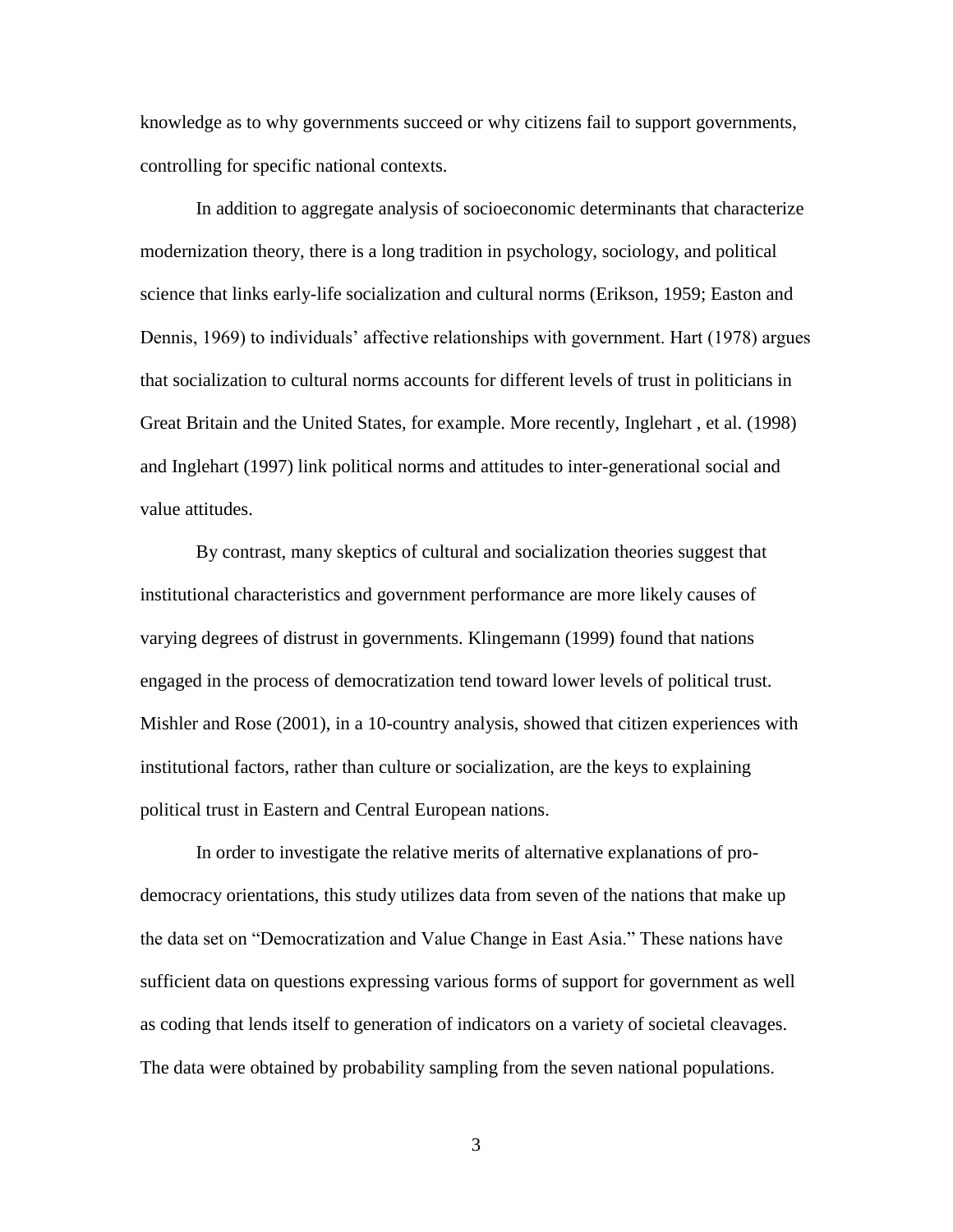knowledge as to why governments succeed or why citizens fail to support governments, controlling for specific national contexts.

In addition to aggregate analysis of socioeconomic determinants that characterize modernization theory, there is a long tradition in psychology, sociology, and political science that links early-life socialization and cultural norms (Erikson, 1959; Easton and Dennis, 1969) to individuals' affective relationships with government. Hart (1978) argues that socialization to cultural norms accounts for different levels of trust in politicians in Great Britain and the United States, for example. More recently, Inglehart , et al. (1998) and Inglehart (1997) link political norms and attitudes to inter-generational social and value attitudes.

By contrast, many skeptics of cultural and socialization theories suggest that institutional characteristics and government performance are more likely causes of varying degrees of distrust in governments. Klingemann (1999) found that nations engaged in the process of democratization tend toward lower levels of political trust. Mishler and Rose (2001), in a 10-country analysis, showed that citizen experiences with institutional factors, rather than culture or socialization, are the keys to explaining political trust in Eastern and Central European nations.

In order to investigate the relative merits of alternative explanations of prodemocracy orientations, this study utilizes data from seven of the nations that make up the data set on "Democratization and Value Change in East Asia." These nations have sufficient data on questions expressing various forms of support for government as well as coding that lends itself to generation of indicators on a variety of societal cleavages. The data were obtained by probability sampling from the seven national populations.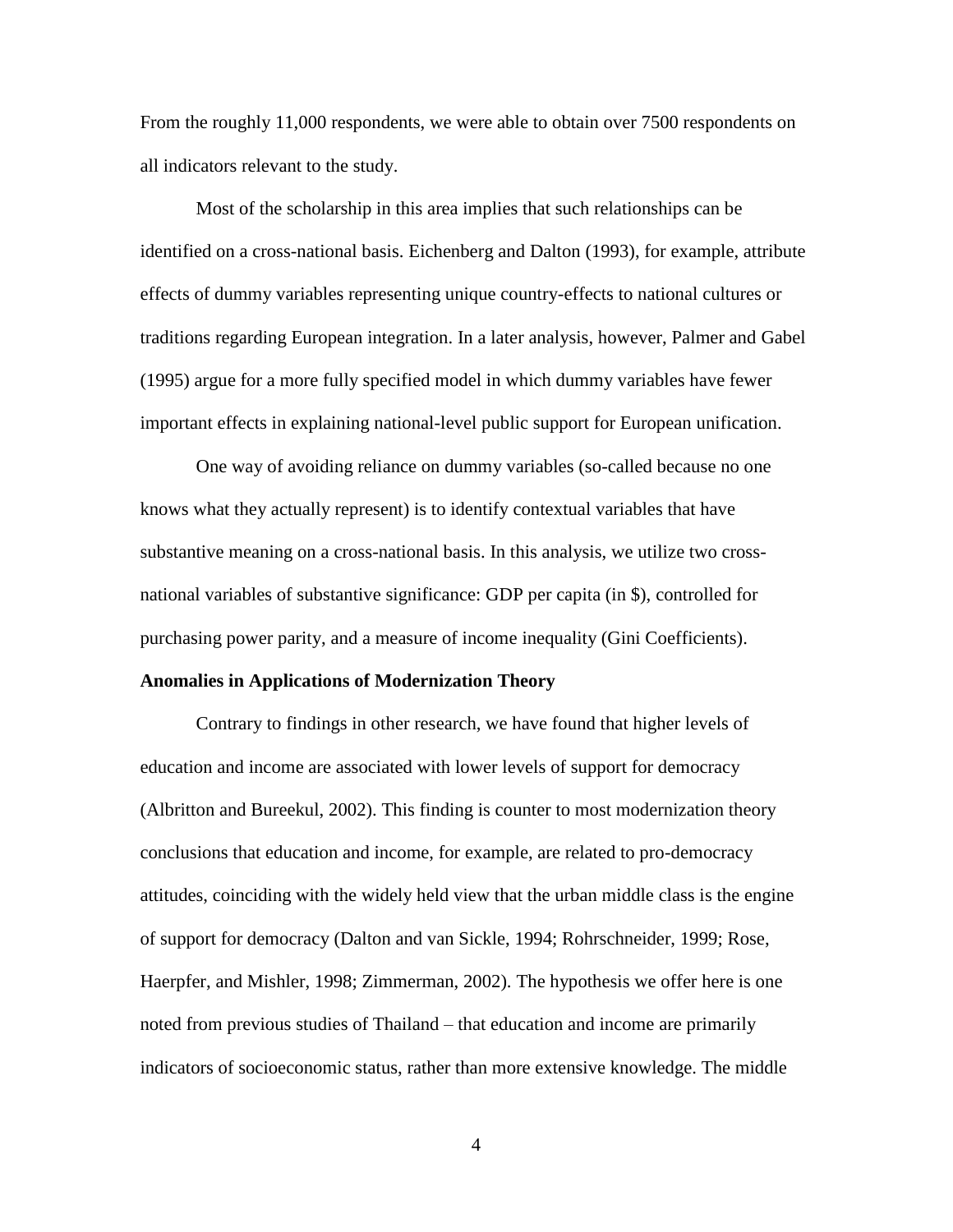From the roughly 11,000 respondents, we were able to obtain over 7500 respondents on all indicators relevant to the study.

Most of the scholarship in this area implies that such relationships can be identified on a cross-national basis. Eichenberg and Dalton (1993), for example, attribute effects of dummy variables representing unique country-effects to national cultures or traditions regarding European integration. In a later analysis, however, Palmer and Gabel (1995) argue for a more fully specified model in which dummy variables have fewer important effects in explaining national-level public support for European unification.

One way of avoiding reliance on dummy variables (so-called because no one knows what they actually represent) is to identify contextual variables that have substantive meaning on a cross-national basis. In this analysis, we utilize two crossnational variables of substantive significance: GDP per capita (in \$), controlled for purchasing power parity, and a measure of income inequality (Gini Coefficients).

#### **Anomalies in Applications of Modernization Theory**

Contrary to findings in other research, we have found that higher levels of education and income are associated with lower levels of support for democracy (Albritton and Bureekul, 2002). This finding is counter to most modernization theory conclusions that education and income, for example, are related to pro-democracy attitudes, coinciding with the widely held view that the urban middle class is the engine of support for democracy (Dalton and van Sickle, 1994; Rohrschneider, 1999; Rose, Haerpfer, and Mishler, 1998; Zimmerman, 2002). The hypothesis we offer here is one noted from previous studies of Thailand – that education and income are primarily indicators of socioeconomic status, rather than more extensive knowledge. The middle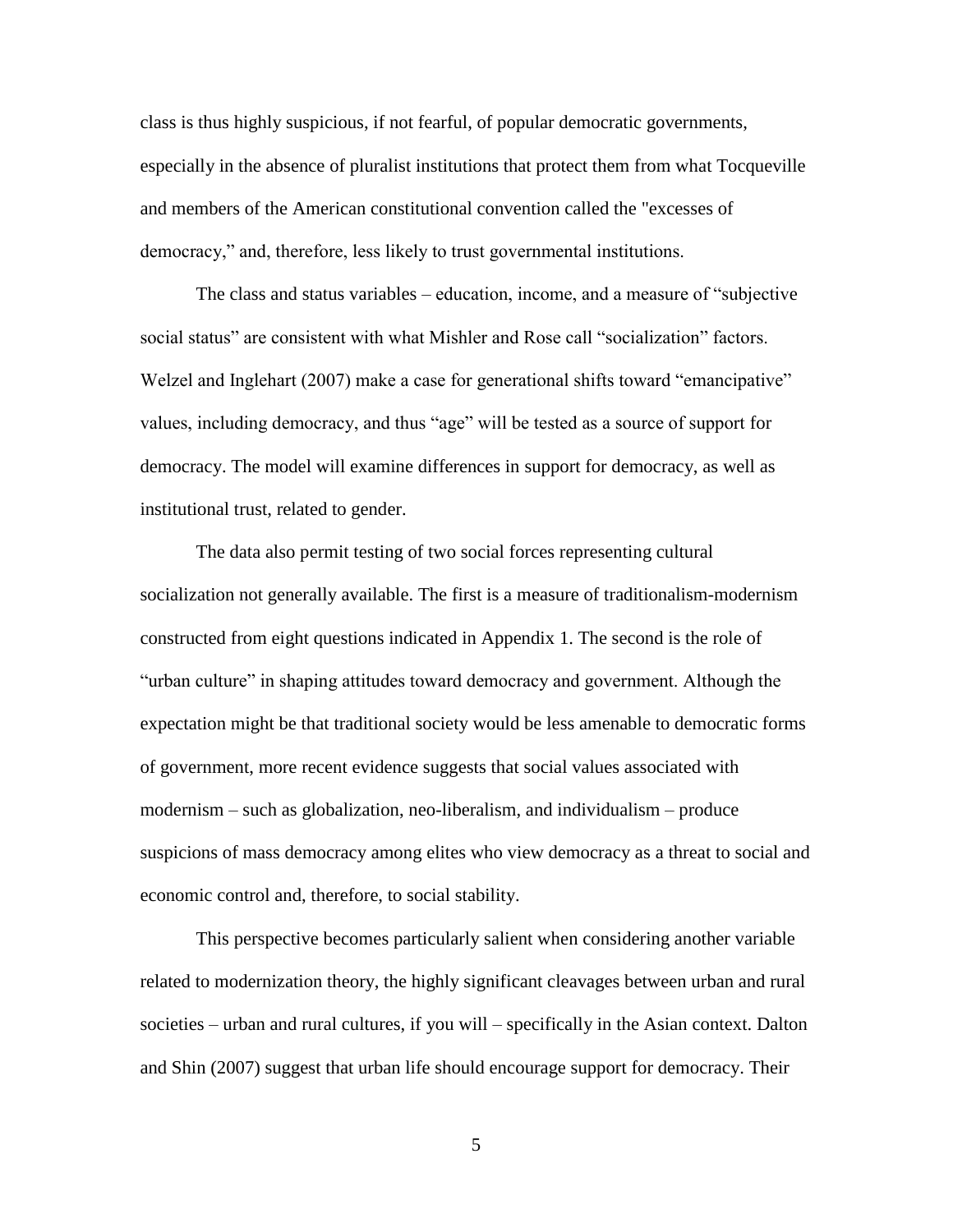class is thus highly suspicious, if not fearful, of popular democratic governments, especially in the absence of pluralist institutions that protect them from what Tocqueville and members of the American constitutional convention called the "excesses of democracy," and, therefore, less likely to trust governmental institutions.

The class and status variables – education, income, and a measure of "subjective social status" are consistent with what Mishler and Rose call "socialization" factors. Welzel and Inglehart (2007) make a case for generational shifts toward "emancipative" values, including democracy, and thus "age" will be tested as a source of support for democracy. The model will examine differences in support for democracy, as well as institutional trust, related to gender.

The data also permit testing of two social forces representing cultural socialization not generally available. The first is a measure of traditionalism-modernism constructed from eight questions indicated in Appendix 1. The second is the role of "urban culture" in shaping attitudes toward democracy and government. Although the expectation might be that traditional society would be less amenable to democratic forms of government, more recent evidence suggests that social values associated with modernism – such as globalization, neo-liberalism, and individualism – produce suspicions of mass democracy among elites who view democracy as a threat to social and economic control and, therefore, to social stability.

This perspective becomes particularly salient when considering another variable related to modernization theory, the highly significant cleavages between urban and rural societies – urban and rural cultures, if you will – specifically in the Asian context. Dalton and Shin (2007) suggest that urban life should encourage support for democracy. Their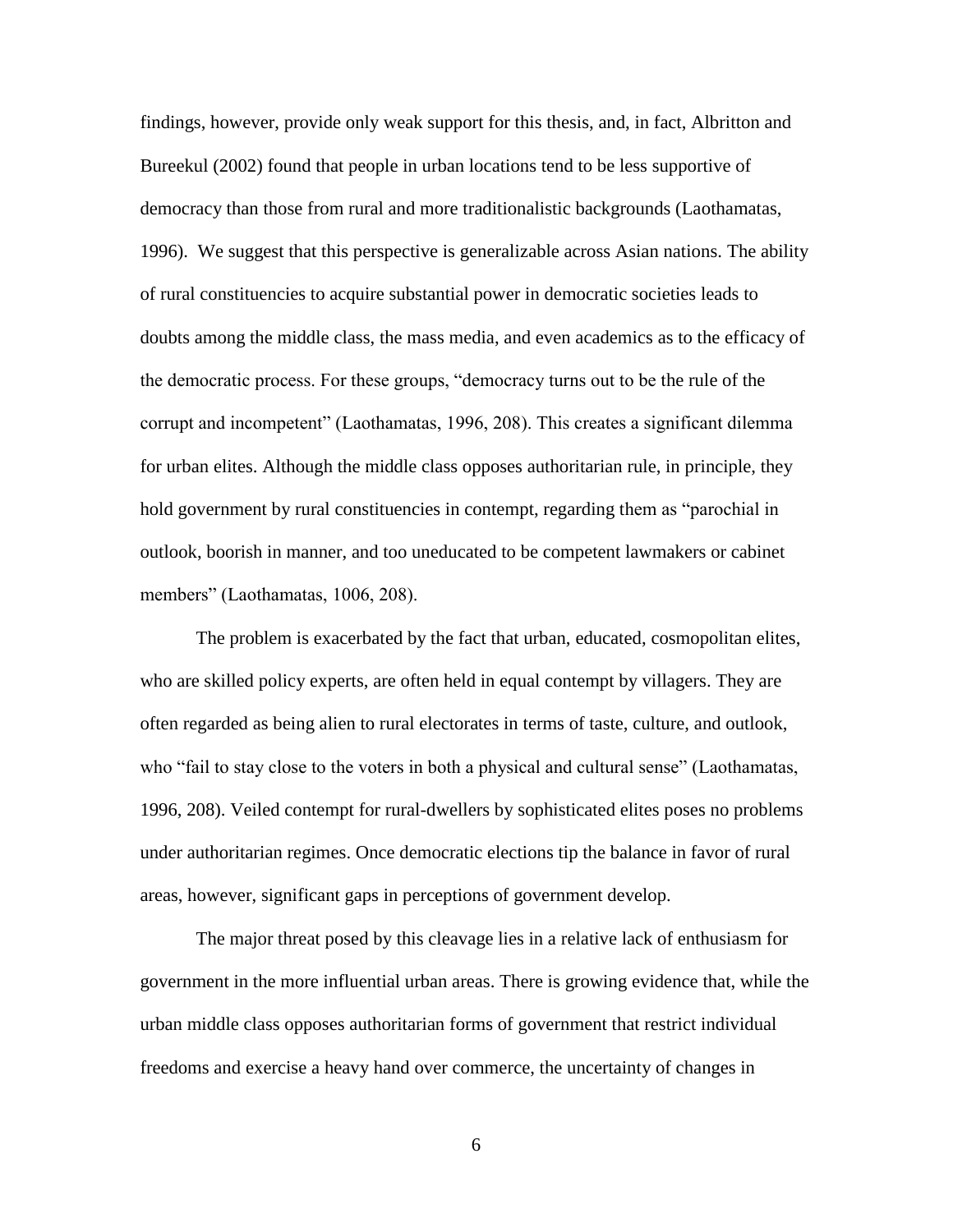findings, however, provide only weak support for this thesis, and, in fact, Albritton and Bureekul (2002) found that people in urban locations tend to be less supportive of democracy than those from rural and more traditionalistic backgrounds (Laothamatas, 1996). We suggest that this perspective is generalizable across Asian nations. The ability of rural constituencies to acquire substantial power in democratic societies leads to doubts among the middle class, the mass media, and even academics as to the efficacy of the democratic process. For these groups, "democracy turns out to be the rule of the corrupt and incompetent" (Laothamatas, 1996, 208). This creates a significant dilemma for urban elites. Although the middle class opposes authoritarian rule, in principle, they hold government by rural constituencies in contempt, regarding them as "parochial in outlook, boorish in manner, and too uneducated to be competent lawmakers or cabinet members" (Laothamatas, 1006, 208).

The problem is exacerbated by the fact that urban, educated, cosmopolitan elites, who are skilled policy experts, are often held in equal contempt by villagers. They are often regarded as being alien to rural electorates in terms of taste, culture, and outlook, who "fail to stay close to the voters in both a physical and cultural sense" (Laothamatas, 1996, 208). Veiled contempt for rural-dwellers by sophisticated elites poses no problems under authoritarian regimes. Once democratic elections tip the balance in favor of rural areas, however, significant gaps in perceptions of government develop.

The major threat posed by this cleavage lies in a relative lack of enthusiasm for government in the more influential urban areas. There is growing evidence that, while the urban middle class opposes authoritarian forms of government that restrict individual freedoms and exercise a heavy hand over commerce, the uncertainty of changes in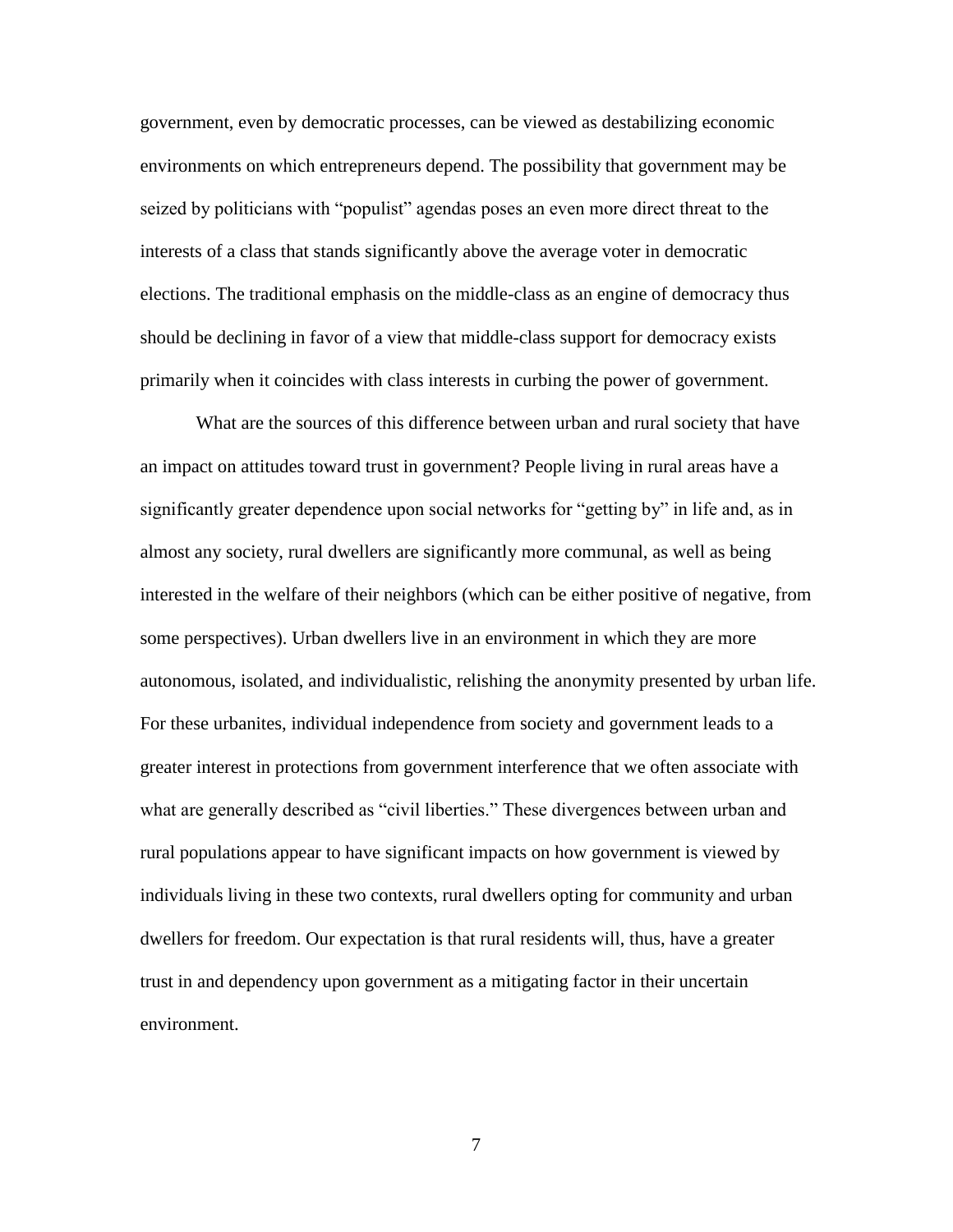government, even by democratic processes, can be viewed as destabilizing economic environments on which entrepreneurs depend. The possibility that government may be seized by politicians with "populist" agendas poses an even more direct threat to the interests of a class that stands significantly above the average voter in democratic elections. The traditional emphasis on the middle-class as an engine of democracy thus should be declining in favor of a view that middle-class support for democracy exists primarily when it coincides with class interests in curbing the power of government.

What are the sources of this difference between urban and rural society that have an impact on attitudes toward trust in government? People living in rural areas have a significantly greater dependence upon social networks for "getting by" in life and, as in almost any society, rural dwellers are significantly more communal, as well as being interested in the welfare of their neighbors (which can be either positive of negative, from some perspectives). Urban dwellers live in an environment in which they are more autonomous, isolated, and individualistic, relishing the anonymity presented by urban life. For these urbanites, individual independence from society and government leads to a greater interest in protections from government interference that we often associate with what are generally described as "civil liberties." These divergences between urban and rural populations appear to have significant impacts on how government is viewed by individuals living in these two contexts, rural dwellers opting for community and urban dwellers for freedom. Our expectation is that rural residents will, thus, have a greater trust in and dependency upon government as a mitigating factor in their uncertain environment.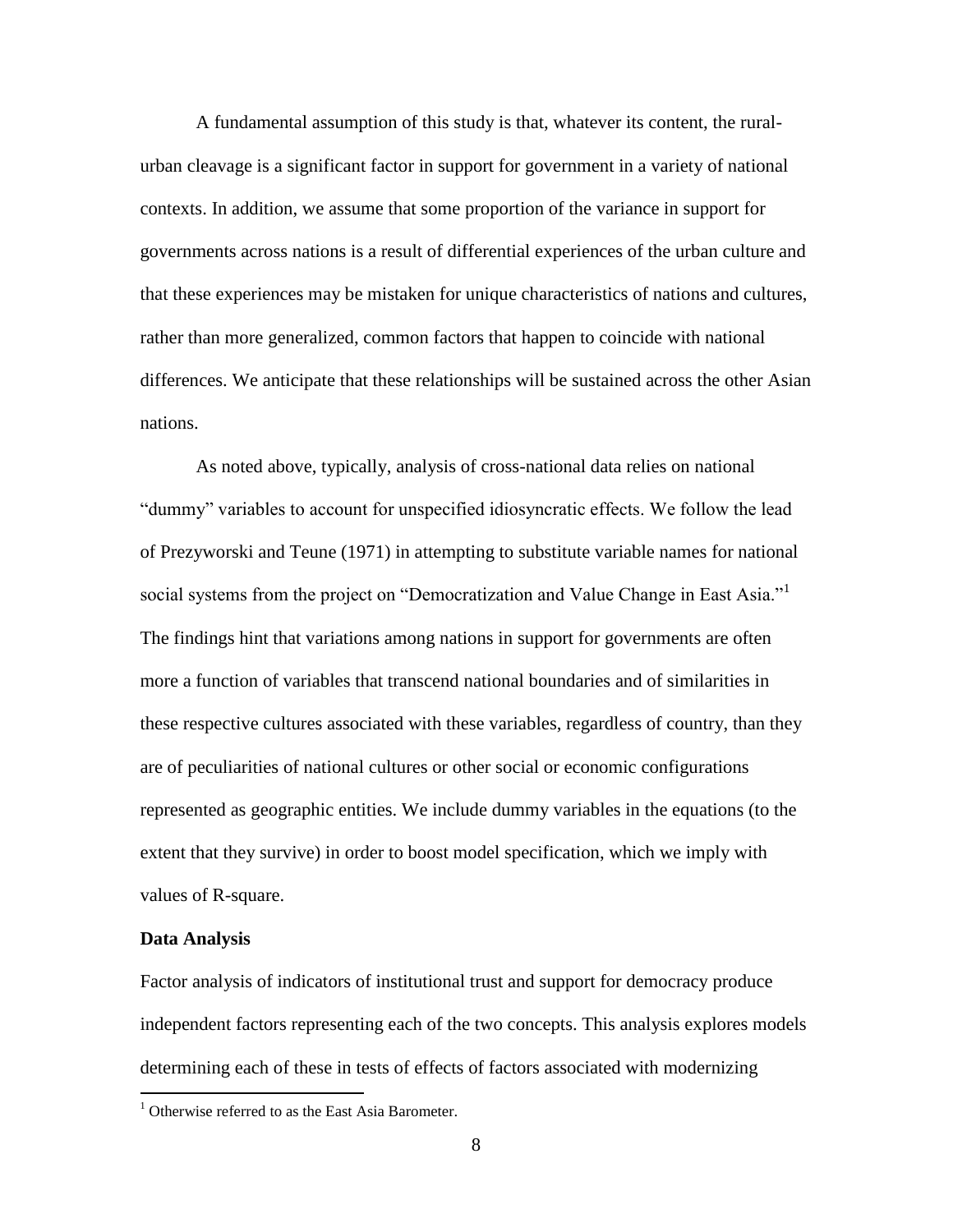A fundamental assumption of this study is that, whatever its content, the ruralurban cleavage is a significant factor in support for government in a variety of national contexts. In addition, we assume that some proportion of the variance in support for governments across nations is a result of differential experiences of the urban culture and that these experiences may be mistaken for unique characteristics of nations and cultures, rather than more generalized, common factors that happen to coincide with national differences. We anticipate that these relationships will be sustained across the other Asian nations.

As noted above, typically, analysis of cross-national data relies on national "dummy" variables to account for unspecified idiosyncratic effects. We follow the lead of Prezyworski and Teune (1971) in attempting to substitute variable names for national social systems from the project on "Democratization and Value Change in East Asia."<sup>1</sup> The findings hint that variations among nations in support for governments are often more a function of variables that transcend national boundaries and of similarities in these respective cultures associated with these variables, regardless of country, than they are of peculiarities of national cultures or other social or economic configurations represented as geographic entities. We include dummy variables in the equations (to the extent that they survive) in order to boost model specification, which we imply with values of R-square.

#### **Data Analysis**

 $\overline{a}$ 

Factor analysis of indicators of institutional trust and support for democracy produce independent factors representing each of the two concepts. This analysis explores models determining each of these in tests of effects of factors associated with modernizing

 $1$  Otherwise referred to as the East Asia Barometer.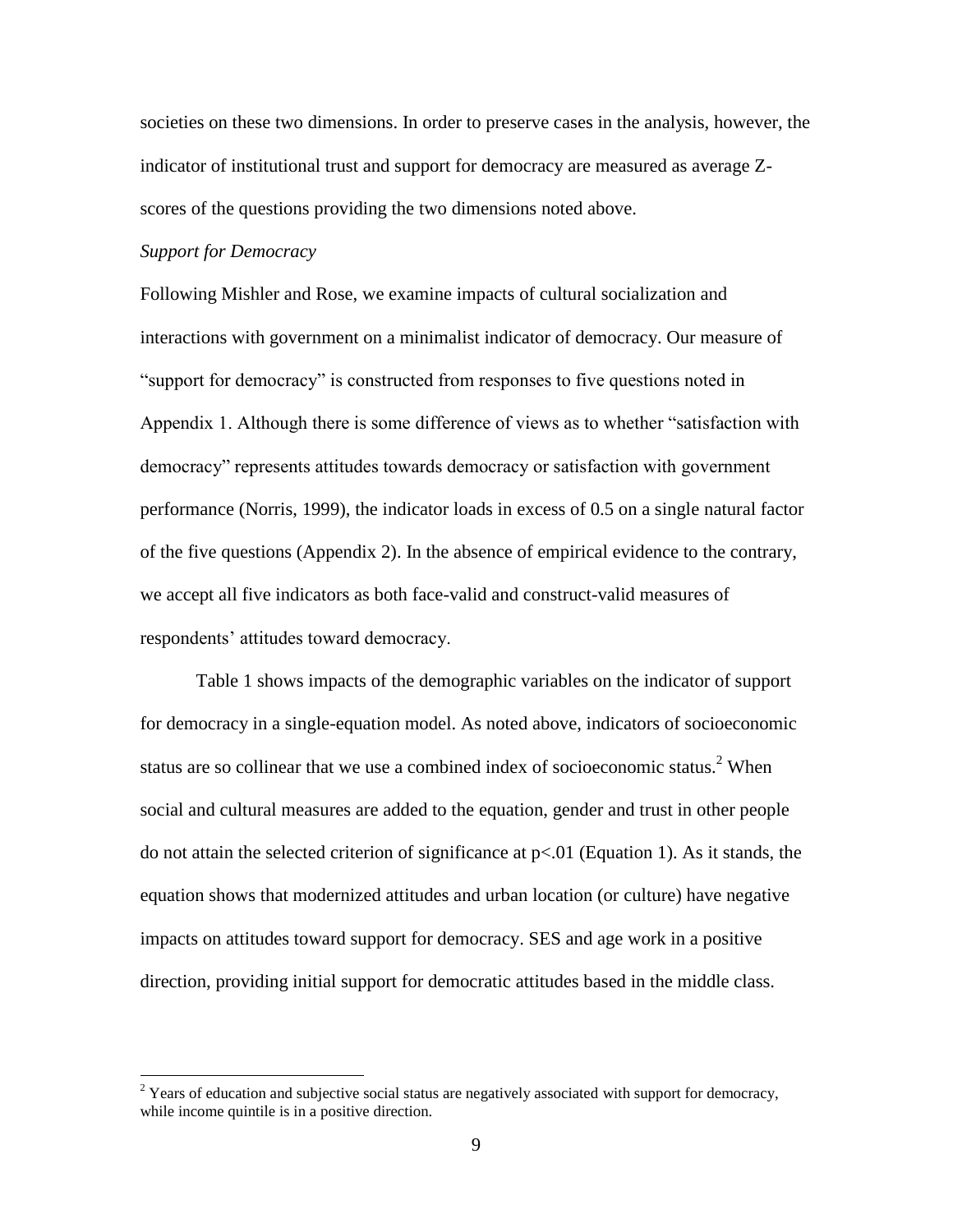societies on these two dimensions. In order to preserve cases in the analysis, however, the indicator of institutional trust and support for democracy are measured as average Zscores of the questions providing the two dimensions noted above.

#### *Support for Democracy*

 $\overline{a}$ 

Following Mishler and Rose, we examine impacts of cultural socialization and interactions with government on a minimalist indicator of democracy. Our measure of "support for democracy" is constructed from responses to five questions noted in Appendix 1. Although there is some difference of views as to whether "satisfaction with democracy" represents attitudes towards democracy or satisfaction with government performance (Norris, 1999), the indicator loads in excess of 0.5 on a single natural factor of the five questions (Appendix 2). In the absence of empirical evidence to the contrary, we accept all five indicators as both face-valid and construct-valid measures of respondents' attitudes toward democracy.

Table 1 shows impacts of the demographic variables on the indicator of support for democracy in a single-equation model. As noted above, indicators of socioeconomic status are so collinear that we use a combined index of socioeconomic status.<sup>2</sup> When social and cultural measures are added to the equation, gender and trust in other people do not attain the selected criterion of significance at  $p<01$  (Equation 1). As it stands, the equation shows that modernized attitudes and urban location (or culture) have negative impacts on attitudes toward support for democracy. SES and age work in a positive direction, providing initial support for democratic attitudes based in the middle class.

<sup>&</sup>lt;sup>2</sup> Years of education and subjective social status are negatively associated with support for democracy, while income quintile is in a positive direction.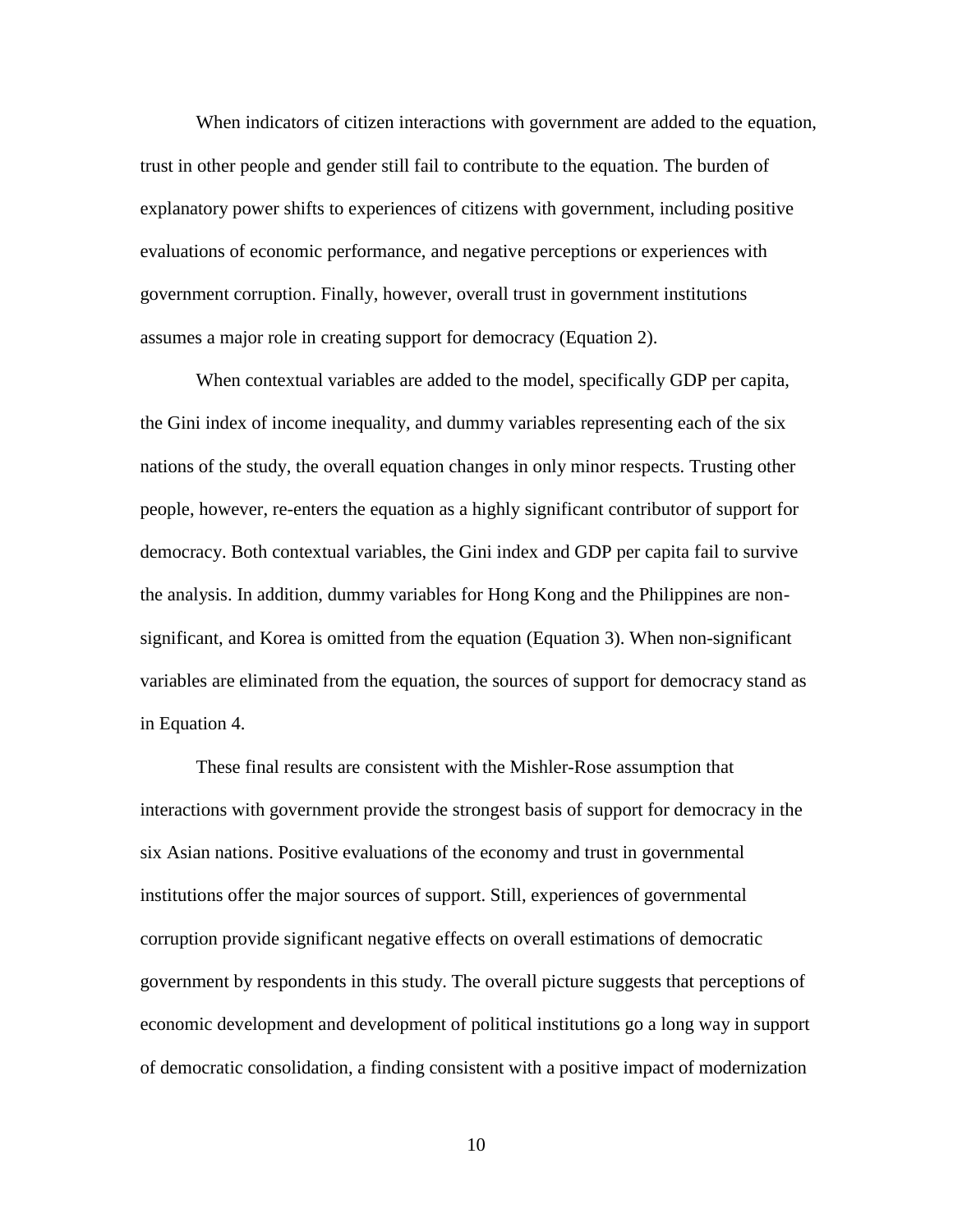When indicators of citizen interactions with government are added to the equation, trust in other people and gender still fail to contribute to the equation. The burden of explanatory power shifts to experiences of citizens with government, including positive evaluations of economic performance, and negative perceptions or experiences with government corruption. Finally, however, overall trust in government institutions assumes a major role in creating support for democracy (Equation 2).

When contextual variables are added to the model, specifically GDP per capita, the Gini index of income inequality, and dummy variables representing each of the six nations of the study, the overall equation changes in only minor respects. Trusting other people, however, re-enters the equation as a highly significant contributor of support for democracy. Both contextual variables, the Gini index and GDP per capita fail to survive the analysis. In addition, dummy variables for Hong Kong and the Philippines are nonsignificant, and Korea is omitted from the equation (Equation 3). When non-significant variables are eliminated from the equation, the sources of support for democracy stand as in Equation 4.

These final results are consistent with the Mishler-Rose assumption that interactions with government provide the strongest basis of support for democracy in the six Asian nations. Positive evaluations of the economy and trust in governmental institutions offer the major sources of support. Still, experiences of governmental corruption provide significant negative effects on overall estimations of democratic government by respondents in this study. The overall picture suggests that perceptions of economic development and development of political institutions go a long way in support of democratic consolidation, a finding consistent with a positive impact of modernization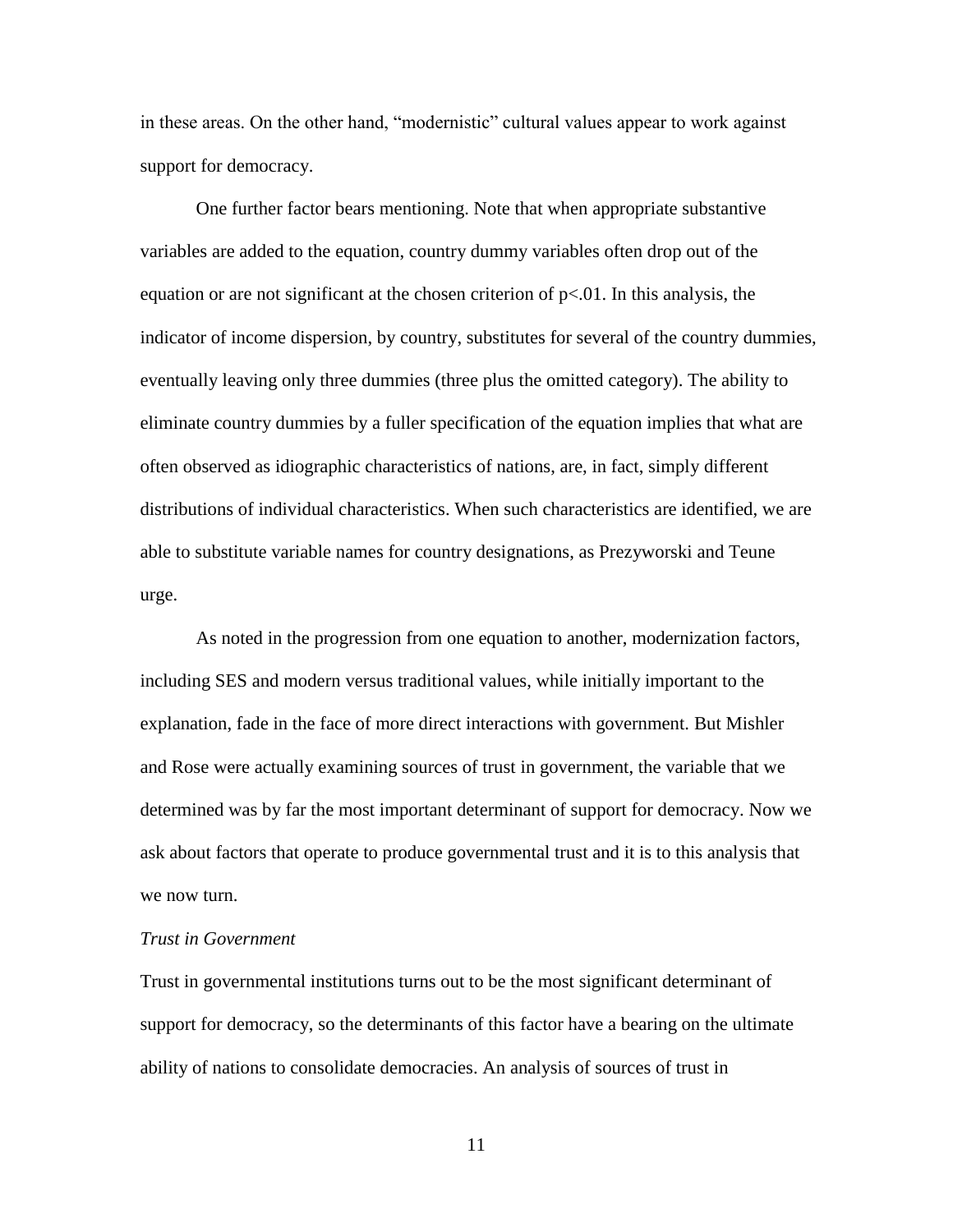in these areas. On the other hand, "modernistic" cultural values appear to work against support for democracy.

One further factor bears mentioning. Note that when appropriate substantive variables are added to the equation, country dummy variables often drop out of the equation or are not significant at the chosen criterion of  $p<0.01$ . In this analysis, the indicator of income dispersion, by country, substitutes for several of the country dummies, eventually leaving only three dummies (three plus the omitted category). The ability to eliminate country dummies by a fuller specification of the equation implies that what are often observed as idiographic characteristics of nations, are, in fact, simply different distributions of individual characteristics. When such characteristics are identified, we are able to substitute variable names for country designations, as Prezyworski and Teune urge.

As noted in the progression from one equation to another, modernization factors, including SES and modern versus traditional values, while initially important to the explanation, fade in the face of more direct interactions with government. But Mishler and Rose were actually examining sources of trust in government, the variable that we determined was by far the most important determinant of support for democracy. Now we ask about factors that operate to produce governmental trust and it is to this analysis that we now turn.

## *Trust in Government*

Trust in governmental institutions turns out to be the most significant determinant of support for democracy, so the determinants of this factor have a bearing on the ultimate ability of nations to consolidate democracies. An analysis of sources of trust in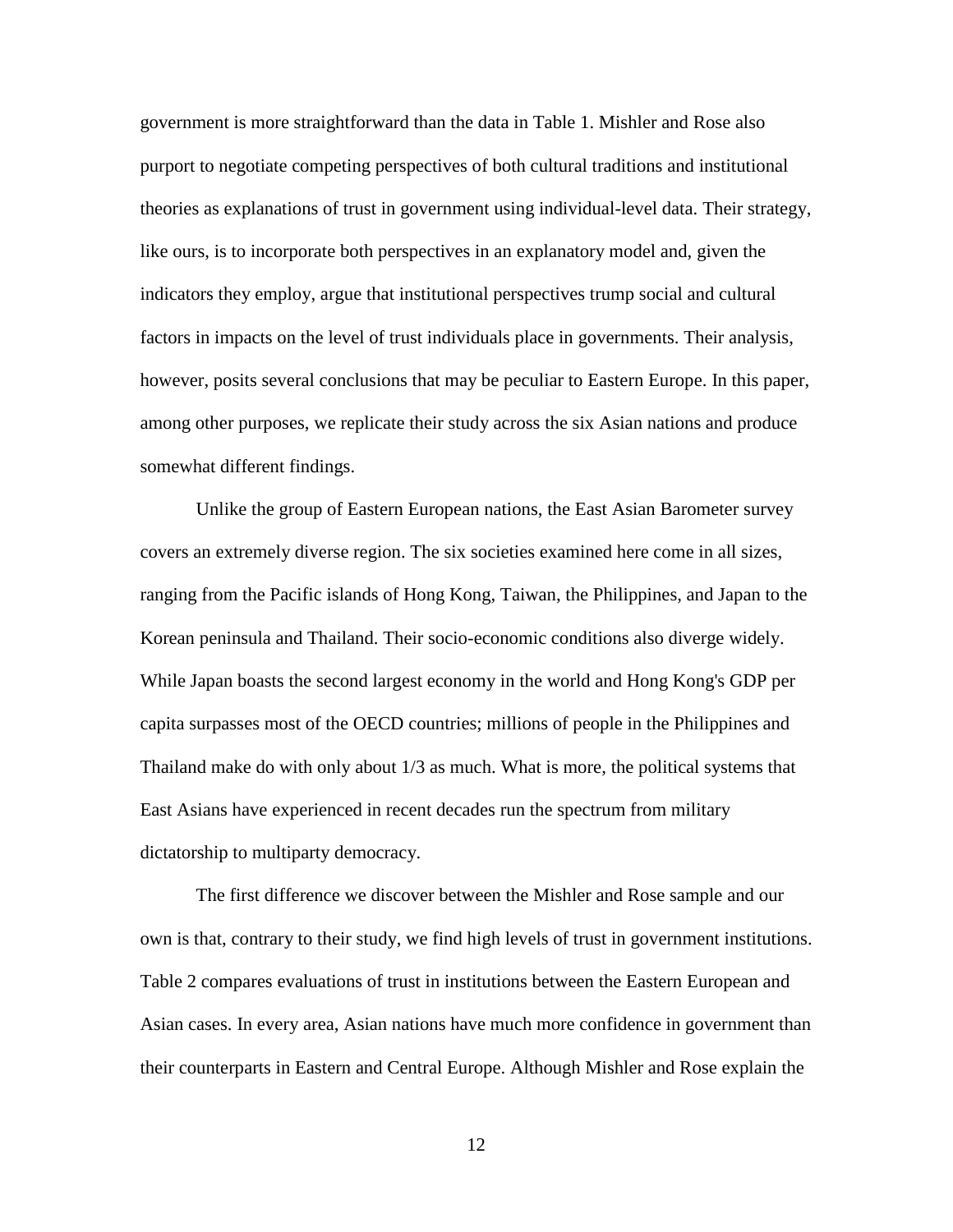government is more straightforward than the data in Table 1. Mishler and Rose also purport to negotiate competing perspectives of both cultural traditions and institutional theories as explanations of trust in government using individual-level data. Their strategy, like ours, is to incorporate both perspectives in an explanatory model and, given the indicators they employ, argue that institutional perspectives trump social and cultural factors in impacts on the level of trust individuals place in governments. Their analysis, however, posits several conclusions that may be peculiar to Eastern Europe. In this paper, among other purposes, we replicate their study across the six Asian nations and produce somewhat different findings.

Unlike the group of Eastern European nations, the East Asian Barometer survey covers an extremely diverse region. The six societies examined here come in all sizes, ranging from the Pacific islands of Hong Kong, Taiwan, the Philippines, and Japan to the Korean peninsula and Thailand. Their socio-economic conditions also diverge widely. While Japan boasts the second largest economy in the world and Hong Kong's GDP per capita surpasses most of the OECD countries; millions of people in the Philippines and Thailand make do with only about 1/3 as much. What is more, the political systems that East Asians have experienced in recent decades run the spectrum from military dictatorship to multiparty democracy.

The first difference we discover between the Mishler and Rose sample and our own is that, contrary to their study, we find high levels of trust in government institutions. Table 2 compares evaluations of trust in institutions between the Eastern European and Asian cases. In every area, Asian nations have much more confidence in government than their counterparts in Eastern and Central Europe. Although Mishler and Rose explain the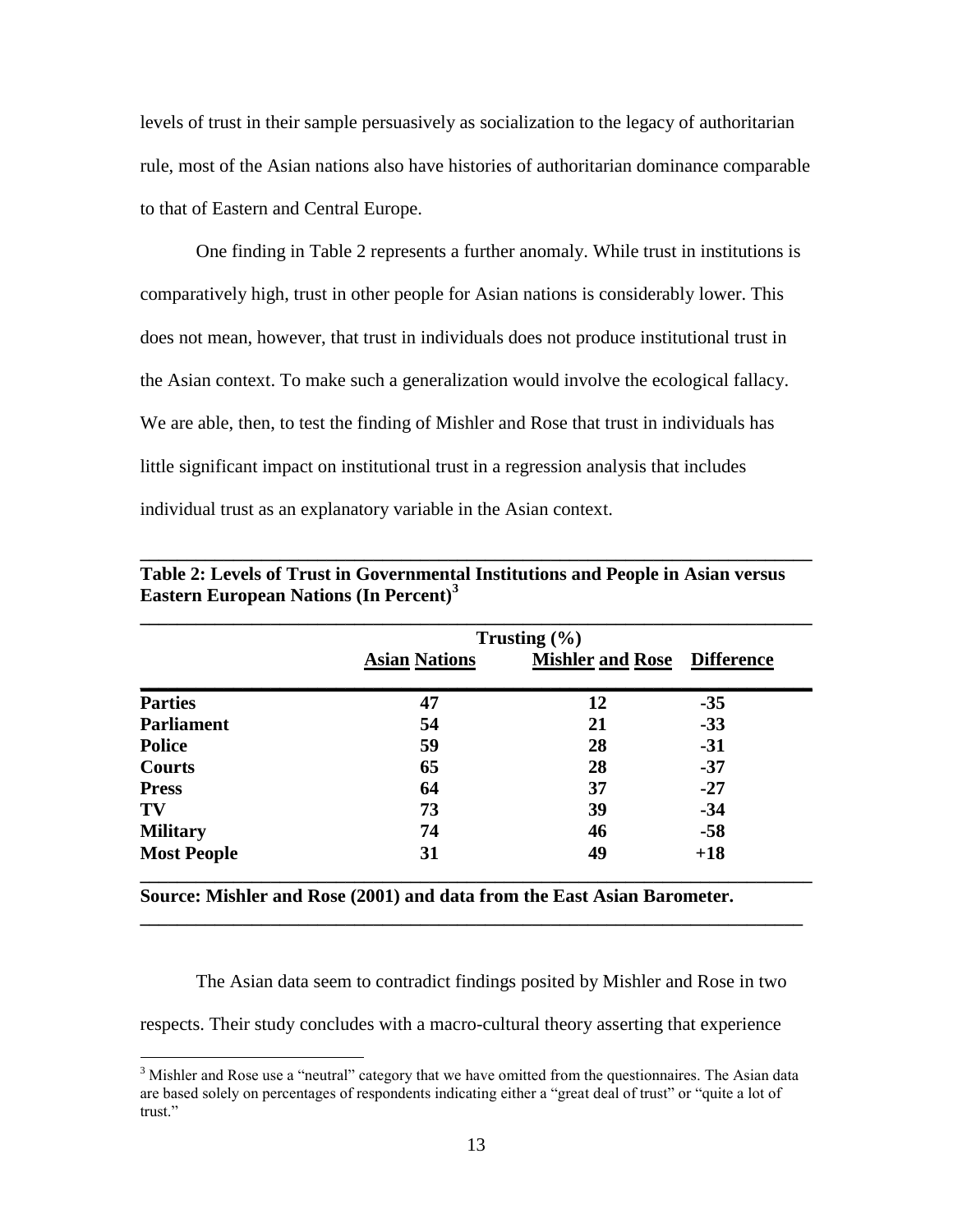levels of trust in their sample persuasively as socialization to the legacy of authoritarian rule, most of the Asian nations also have histories of authoritarian dominance comparable to that of Eastern and Central Europe.

One finding in Table 2 represents a further anomaly. While trust in institutions is comparatively high, trust in other people for Asian nations is considerably lower. This does not mean, however, that trust in individuals does not produce institutional trust in the Asian context. To make such a generalization would involve the ecological fallacy. We are able, then, to test the finding of Mishler and Rose that trust in individuals has little significant impact on institutional trust in a regression analysis that includes individual trust as an explanatory variable in the Asian context.

|                    |                      | Trusting $(\% )$        |                   |  |
|--------------------|----------------------|-------------------------|-------------------|--|
|                    | <b>Asian Nations</b> | <b>Mishler and Rose</b> | <b>Difference</b> |  |
| <b>Parties</b>     | 47                   | 12                      | $-35$             |  |
| <b>Parliament</b>  | 54                   | 21                      | $-33$             |  |
| <b>Police</b>      | 59                   | 28                      | $-31$             |  |
| <b>Courts</b>      | 65                   | 28                      | $-37$             |  |
| <b>Press</b>       | 64                   | 37                      | $-27$             |  |
| TV                 | 73                   | 39                      | $-34$             |  |
| <b>Military</b>    | 74                   | 46                      | $-58$             |  |
| <b>Most People</b> | 31                   | 49                      | $+18$             |  |

**Table 2: Levels of Trust in Governmental Institutions and People in Asian versus Eastern European Nations (In Percent)<sup>3</sup>**

**\_\_\_\_\_\_\_\_\_\_\_\_\_\_\_\_\_\_\_\_\_\_\_\_\_\_\_\_\_\_\_\_\_\_\_\_\_\_\_\_\_\_\_\_\_\_\_\_\_\_\_\_\_\_\_\_\_\_\_\_\_\_\_\_\_\_\_\_\_\_\_\_**

**Source: Mishler and Rose (2001) and data from the East Asian Barometer.**

The Asian data seem to contradict findings posited by Mishler and Rose in two

respects. Their study concludes with a macro-cultural theory asserting that experience

 $\overline{a}$ 

**\_\_\_\_\_\_\_\_\_\_\_\_\_\_\_\_\_\_\_\_\_\_\_\_\_\_\_\_\_\_\_\_\_\_\_\_\_\_\_\_\_\_\_\_\_\_\_\_\_\_\_\_\_\_\_\_\_\_\_\_\_\_\_\_\_\_\_\_\_\_\_**

 $3$  Mishler and Rose use a "neutral" category that we have omitted from the questionnaires. The Asian data are based solely on percentages of respondents indicating either a "great deal of trust" or "quite a lot of trust."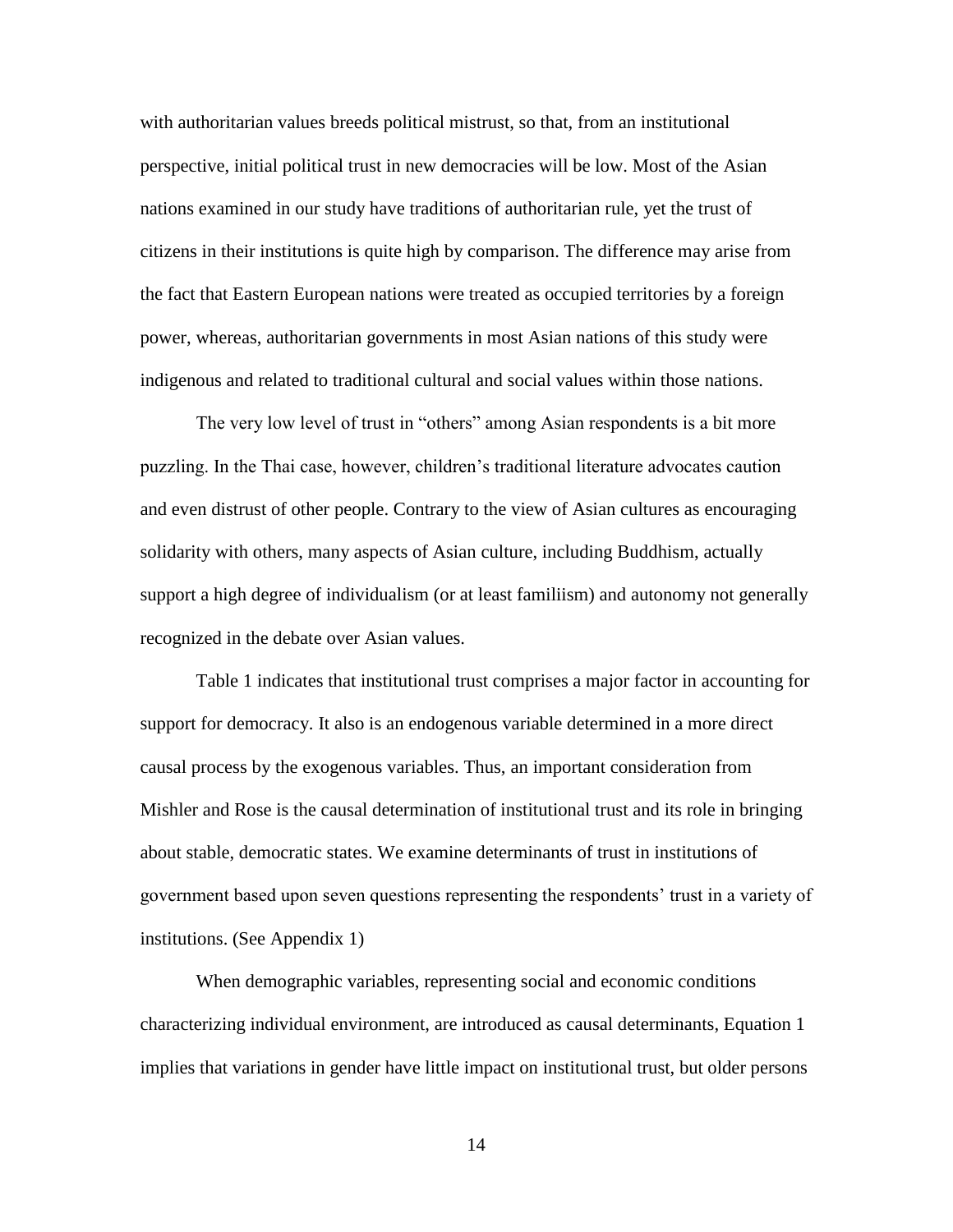with authoritarian values breeds political mistrust, so that, from an institutional perspective, initial political trust in new democracies will be low. Most of the Asian nations examined in our study have traditions of authoritarian rule, yet the trust of citizens in their institutions is quite high by comparison. The difference may arise from the fact that Eastern European nations were treated as occupied territories by a foreign power, whereas, authoritarian governments in most Asian nations of this study were indigenous and related to traditional cultural and social values within those nations.

The very low level of trust in "others" among Asian respondents is a bit more puzzling. In the Thai case, however, children's traditional literature advocates caution and even distrust of other people. Contrary to the view of Asian cultures as encouraging solidarity with others, many aspects of Asian culture, including Buddhism, actually support a high degree of individualism (or at least familiism) and autonomy not generally recognized in the debate over Asian values.

Table 1 indicates that institutional trust comprises a major factor in accounting for support for democracy. It also is an endogenous variable determined in a more direct causal process by the exogenous variables. Thus, an important consideration from Mishler and Rose is the causal determination of institutional trust and its role in bringing about stable, democratic states. We examine determinants of trust in institutions of government based upon seven questions representing the respondents' trust in a variety of institutions. (See Appendix 1)

When demographic variables, representing social and economic conditions characterizing individual environment, are introduced as causal determinants, Equation 1 implies that variations in gender have little impact on institutional trust, but older persons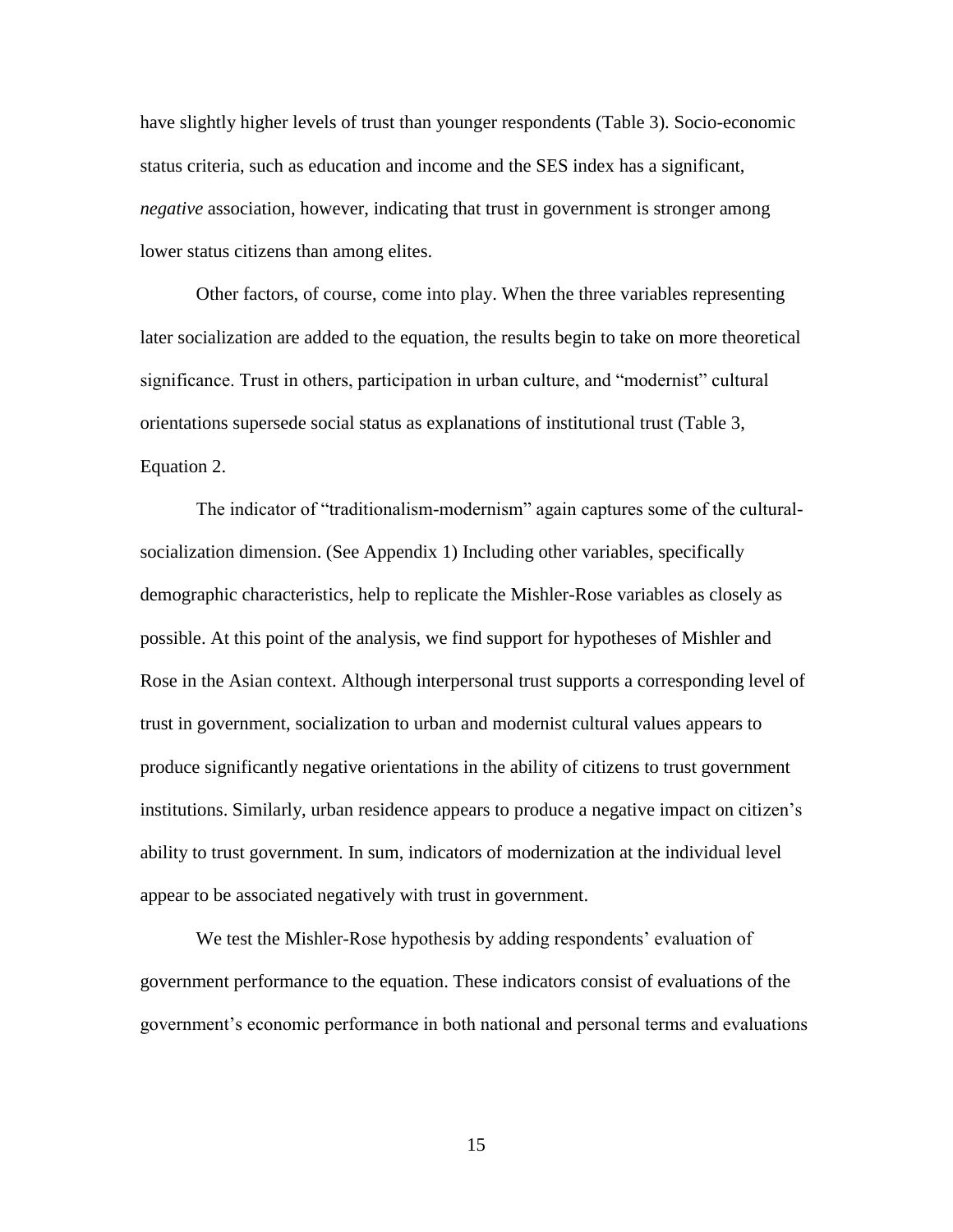have slightly higher levels of trust than younger respondents (Table 3). Socio-economic status criteria, such as education and income and the SES index has a significant, *negative* association, however, indicating that trust in government is stronger among lower status citizens than among elites.

Other factors, of course, come into play. When the three variables representing later socialization are added to the equation, the results begin to take on more theoretical significance. Trust in others, participation in urban culture, and "modernist" cultural orientations supersede social status as explanations of institutional trust (Table 3, Equation 2.

The indicator of "traditionalism-modernism" again captures some of the culturalsocialization dimension. (See Appendix 1) Including other variables, specifically demographic characteristics, help to replicate the Mishler-Rose variables as closely as possible. At this point of the analysis, we find support for hypotheses of Mishler and Rose in the Asian context. Although interpersonal trust supports a corresponding level of trust in government, socialization to urban and modernist cultural values appears to produce significantly negative orientations in the ability of citizens to trust government institutions. Similarly, urban residence appears to produce a negative impact on citizen's ability to trust government. In sum, indicators of modernization at the individual level appear to be associated negatively with trust in government.

We test the Mishler-Rose hypothesis by adding respondents' evaluation of government performance to the equation. These indicators consist of evaluations of the government's economic performance in both national and personal terms and evaluations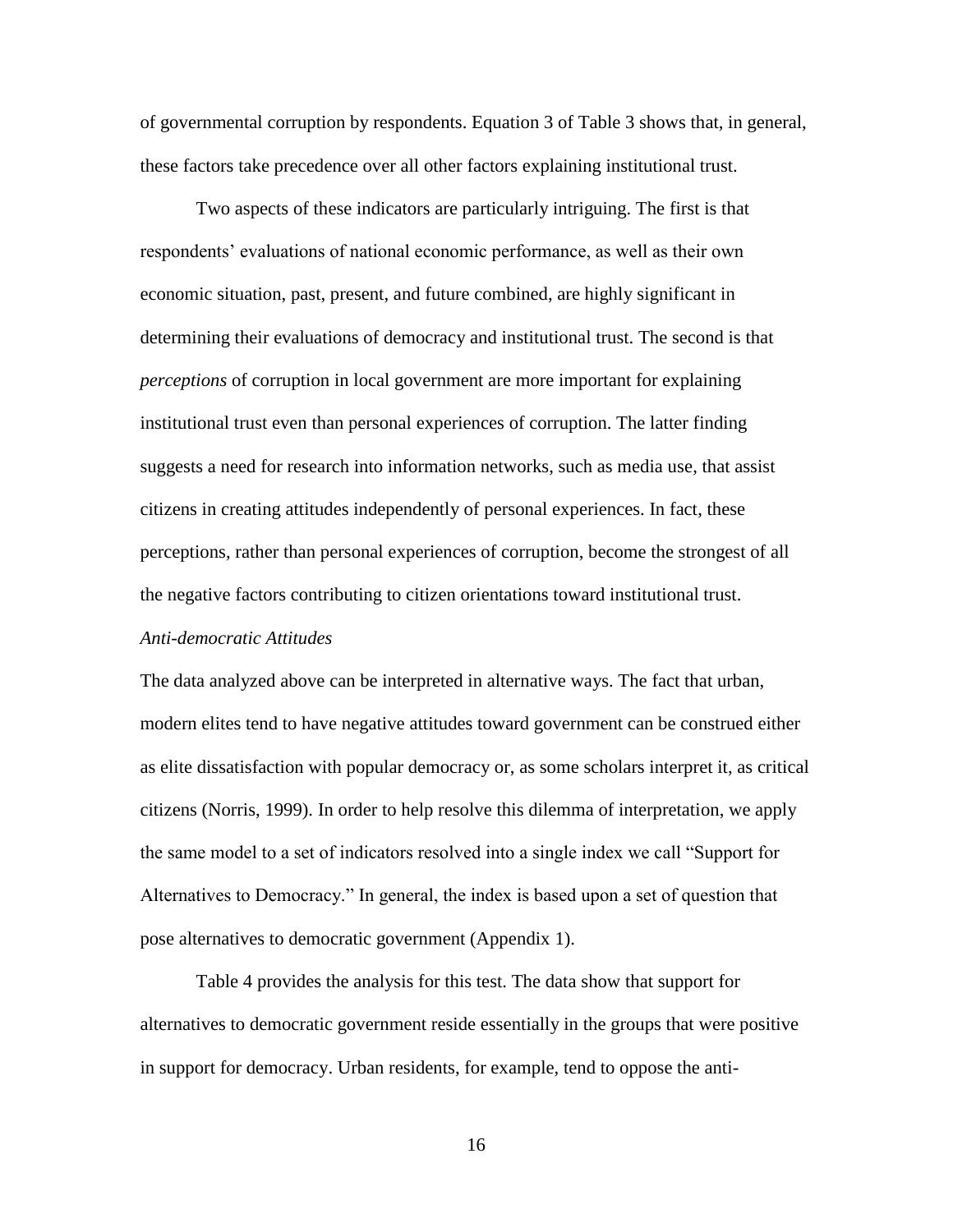of governmental corruption by respondents. Equation 3 of Table 3 shows that, in general, these factors take precedence over all other factors explaining institutional trust.

Two aspects of these indicators are particularly intriguing. The first is that respondents' evaluations of national economic performance, as well as their own economic situation, past, present, and future combined, are highly significant in determining their evaluations of democracy and institutional trust. The second is that *perceptions* of corruption in local government are more important for explaining institutional trust even than personal experiences of corruption. The latter finding suggests a need for research into information networks, such as media use, that assist citizens in creating attitudes independently of personal experiences. In fact, these perceptions, rather than personal experiences of corruption, become the strongest of all the negative factors contributing to citizen orientations toward institutional trust.

## *Anti-democratic Attitudes*

The data analyzed above can be interpreted in alternative ways. The fact that urban, modern elites tend to have negative attitudes toward government can be construed either as elite dissatisfaction with popular democracy or, as some scholars interpret it, as critical citizens (Norris, 1999). In order to help resolve this dilemma of interpretation, we apply the same model to a set of indicators resolved into a single index we call "Support for Alternatives to Democracy." In general, the index is based upon a set of question that pose alternatives to democratic government (Appendix 1).

Table 4 provides the analysis for this test. The data show that support for alternatives to democratic government reside essentially in the groups that were positive in support for democracy. Urban residents, for example, tend to oppose the anti-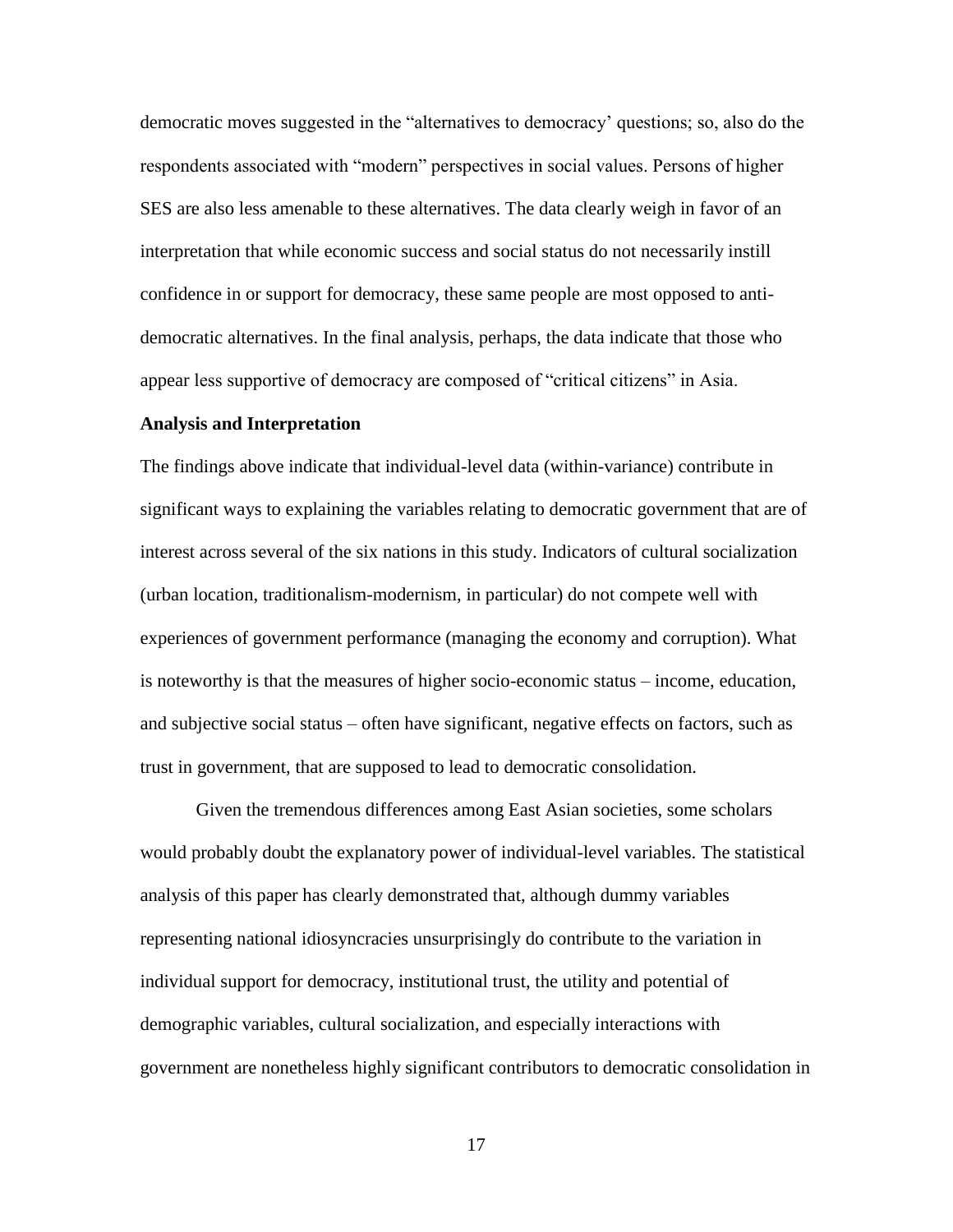democratic moves suggested in the "alternatives to democracy' questions; so, also do the respondents associated with "modern" perspectives in social values. Persons of higher SES are also less amenable to these alternatives. The data clearly weigh in favor of an interpretation that while economic success and social status do not necessarily instill confidence in or support for democracy, these same people are most opposed to antidemocratic alternatives. In the final analysis, perhaps, the data indicate that those who appear less supportive of democracy are composed of "critical citizens" in Asia.

#### **Analysis and Interpretation**

The findings above indicate that individual-level data (within-variance) contribute in significant ways to explaining the variables relating to democratic government that are of interest across several of the six nations in this study. Indicators of cultural socialization (urban location, traditionalism-modernism, in particular) do not compete well with experiences of government performance (managing the economy and corruption). What is noteworthy is that the measures of higher socio-economic status – income, education, and subjective social status – often have significant, negative effects on factors, such as trust in government, that are supposed to lead to democratic consolidation.

Given the tremendous differences among East Asian societies, some scholars would probably doubt the explanatory power of individual-level variables. The statistical analysis of this paper has clearly demonstrated that, although dummy variables representing national idiosyncracies unsurprisingly do contribute to the variation in individual support for democracy, institutional trust, the utility and potential of demographic variables, cultural socialization, and especially interactions with government are nonetheless highly significant contributors to democratic consolidation in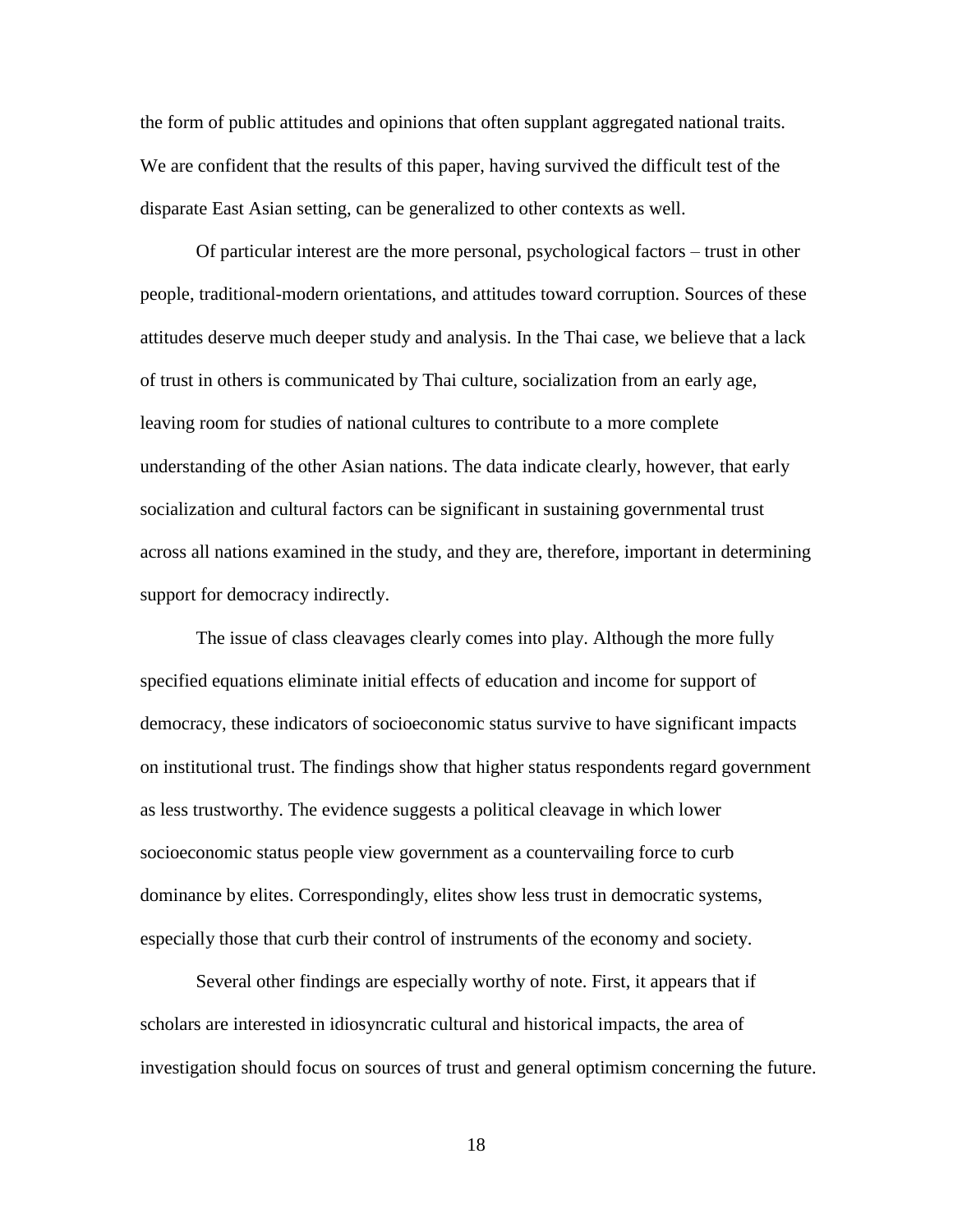the form of public attitudes and opinions that often supplant aggregated national traits. We are confident that the results of this paper, having survived the difficult test of the disparate East Asian setting, can be generalized to other contexts as well.

Of particular interest are the more personal, psychological factors – trust in other people, traditional-modern orientations, and attitudes toward corruption. Sources of these attitudes deserve much deeper study and analysis. In the Thai case, we believe that a lack of trust in others is communicated by Thai culture, socialization from an early age, leaving room for studies of national cultures to contribute to a more complete understanding of the other Asian nations. The data indicate clearly, however, that early socialization and cultural factors can be significant in sustaining governmental trust across all nations examined in the study, and they are, therefore, important in determining support for democracy indirectly.

The issue of class cleavages clearly comes into play. Although the more fully specified equations eliminate initial effects of education and income for support of democracy, these indicators of socioeconomic status survive to have significant impacts on institutional trust. The findings show that higher status respondents regard government as less trustworthy. The evidence suggests a political cleavage in which lower socioeconomic status people view government as a countervailing force to curb dominance by elites. Correspondingly, elites show less trust in democratic systems, especially those that curb their control of instruments of the economy and society.

Several other findings are especially worthy of note. First, it appears that if scholars are interested in idiosyncratic cultural and historical impacts, the area of investigation should focus on sources of trust and general optimism concerning the future.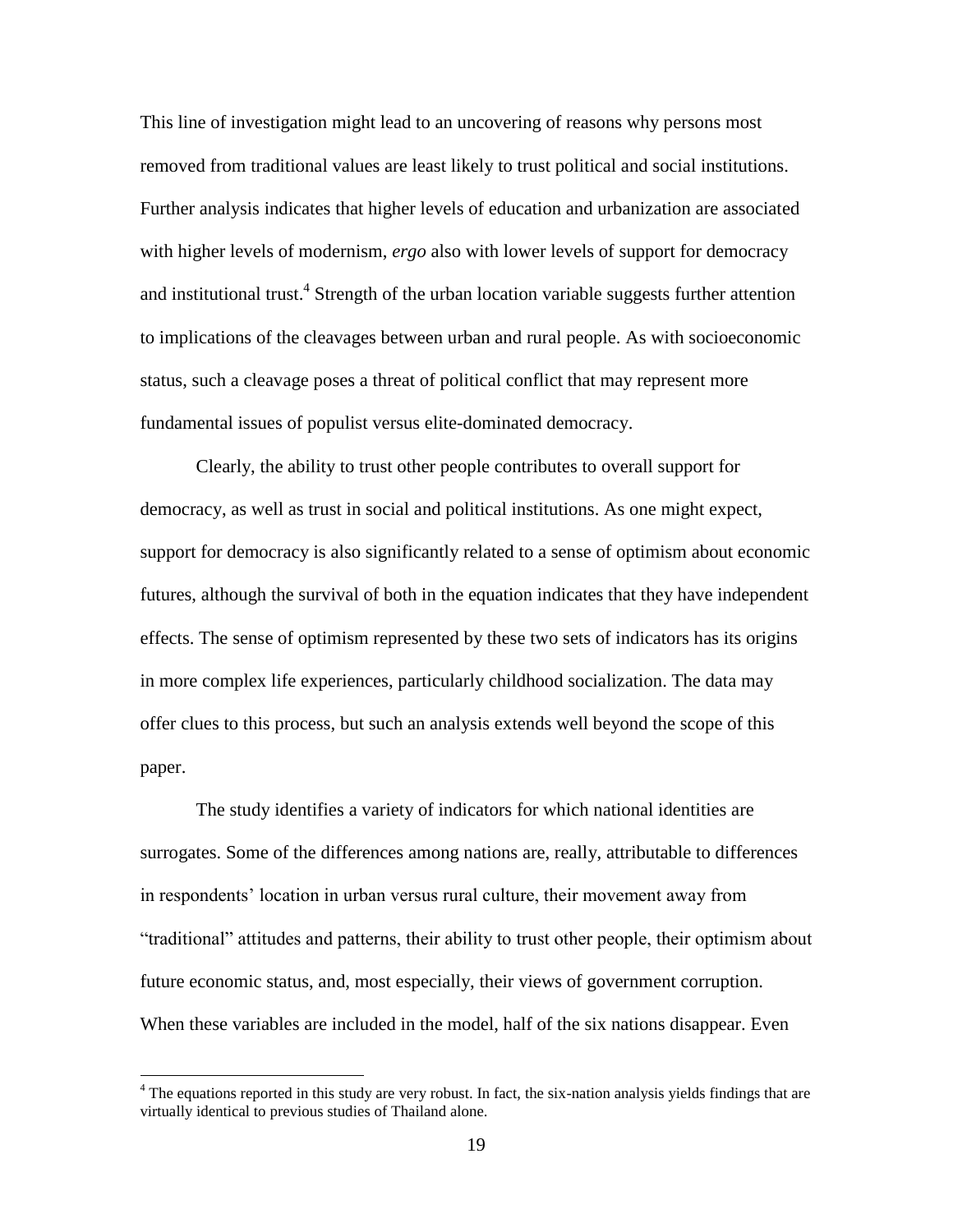This line of investigation might lead to an uncovering of reasons why persons most removed from traditional values are least likely to trust political and social institutions. Further analysis indicates that higher levels of education and urbanization are associated with higher levels of modernism, *ergo* also with lower levels of support for democracy and institutional trust.<sup>4</sup> Strength of the urban location variable suggests further attention to implications of the cleavages between urban and rural people. As with socioeconomic status, such a cleavage poses a threat of political conflict that may represent more fundamental issues of populist versus elite-dominated democracy.

Clearly, the ability to trust other people contributes to overall support for democracy, as well as trust in social and political institutions. As one might expect, support for democracy is also significantly related to a sense of optimism about economic futures, although the survival of both in the equation indicates that they have independent effects. The sense of optimism represented by these two sets of indicators has its origins in more complex life experiences, particularly childhood socialization. The data may offer clues to this process, but such an analysis extends well beyond the scope of this paper.

The study identifies a variety of indicators for which national identities are surrogates. Some of the differences among nations are, really, attributable to differences in respondents' location in urban versus rural culture, their movement away from "traditional" attitudes and patterns, their ability to trust other people, their optimism about future economic status, and, most especially, their views of government corruption. When these variables are included in the model, half of the six nations disappear. Even

 $\overline{a}$ 

<sup>&</sup>lt;sup>4</sup> The equations reported in this study are very robust. In fact, the six-nation analysis yields findings that are virtually identical to previous studies of Thailand alone.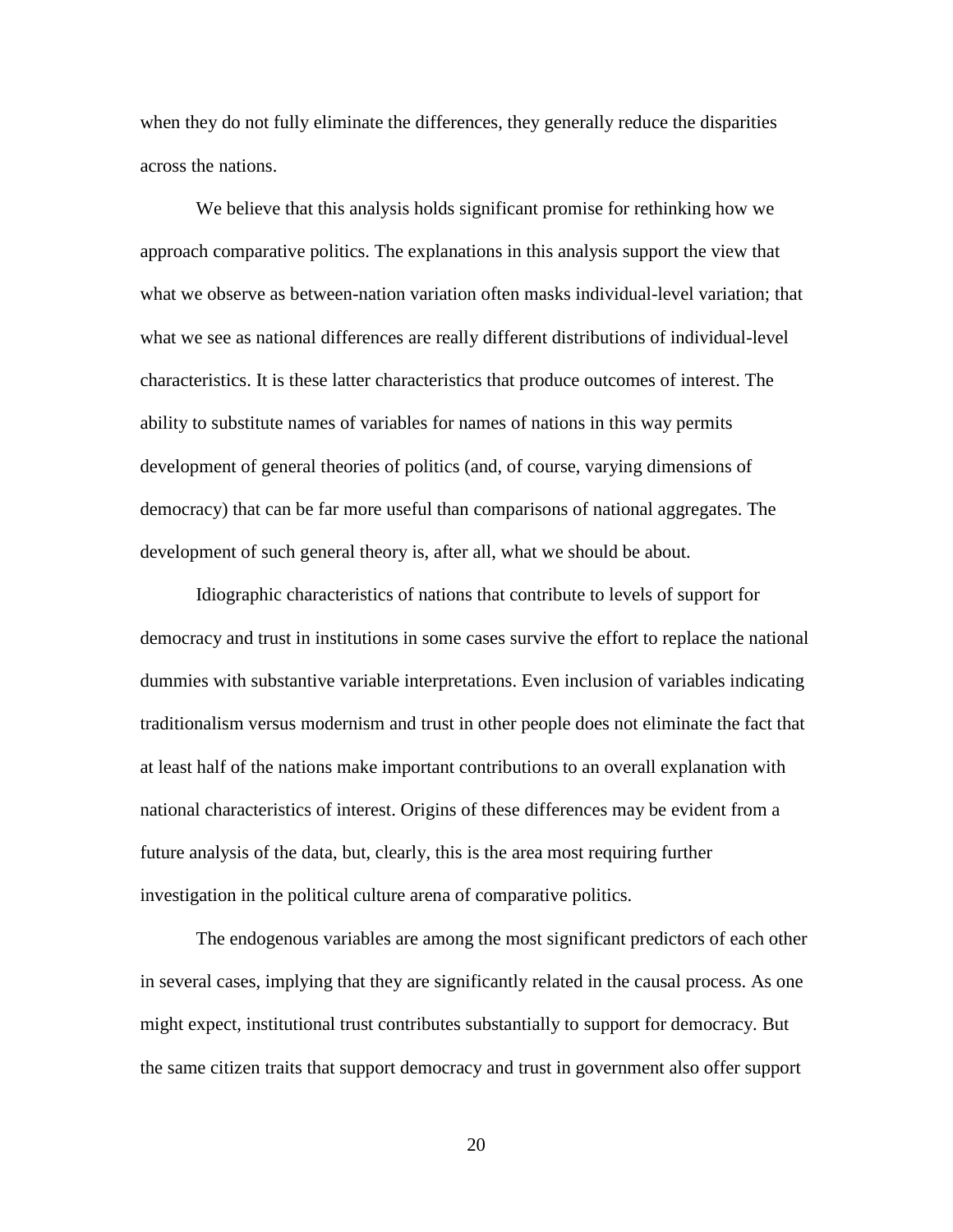when they do not fully eliminate the differences, they generally reduce the disparities across the nations.

We believe that this analysis holds significant promise for rethinking how we approach comparative politics. The explanations in this analysis support the view that what we observe as between-nation variation often masks individual-level variation; that what we see as national differences are really different distributions of individual-level characteristics. It is these latter characteristics that produce outcomes of interest. The ability to substitute names of variables for names of nations in this way permits development of general theories of politics (and, of course, varying dimensions of democracy) that can be far more useful than comparisons of national aggregates. The development of such general theory is, after all, what we should be about.

Idiographic characteristics of nations that contribute to levels of support for democracy and trust in institutions in some cases survive the effort to replace the national dummies with substantive variable interpretations. Even inclusion of variables indicating traditionalism versus modernism and trust in other people does not eliminate the fact that at least half of the nations make important contributions to an overall explanation with national characteristics of interest. Origins of these differences may be evident from a future analysis of the data, but, clearly, this is the area most requiring further investigation in the political culture arena of comparative politics.

The endogenous variables are among the most significant predictors of each other in several cases, implying that they are significantly related in the causal process. As one might expect, institutional trust contributes substantially to support for democracy. But the same citizen traits that support democracy and trust in government also offer support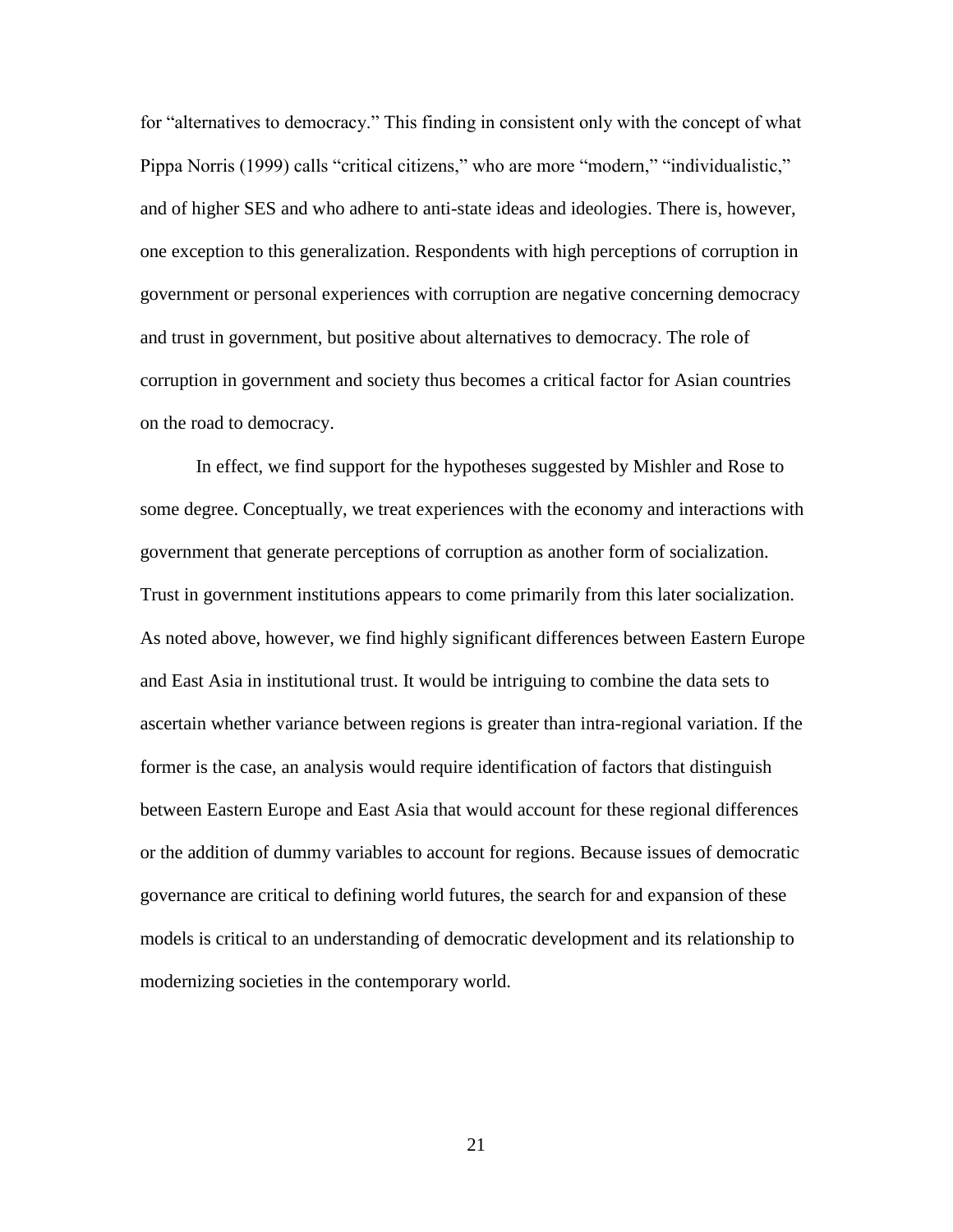for "alternatives to democracy." This finding in consistent only with the concept of what Pippa Norris (1999) calls "critical citizens," who are more "modern," "individualistic," and of higher SES and who adhere to anti-state ideas and ideologies. There is, however, one exception to this generalization. Respondents with high perceptions of corruption in government or personal experiences with corruption are negative concerning democracy and trust in government, but positive about alternatives to democracy. The role of corruption in government and society thus becomes a critical factor for Asian countries on the road to democracy.

In effect, we find support for the hypotheses suggested by Mishler and Rose to some degree. Conceptually, we treat experiences with the economy and interactions with government that generate perceptions of corruption as another form of socialization. Trust in government institutions appears to come primarily from this later socialization. As noted above, however, we find highly significant differences between Eastern Europe and East Asia in institutional trust. It would be intriguing to combine the data sets to ascertain whether variance between regions is greater than intra-regional variation. If the former is the case, an analysis would require identification of factors that distinguish between Eastern Europe and East Asia that would account for these regional differences or the addition of dummy variables to account for regions. Because issues of democratic governance are critical to defining world futures, the search for and expansion of these models is critical to an understanding of democratic development and its relationship to modernizing societies in the contemporary world.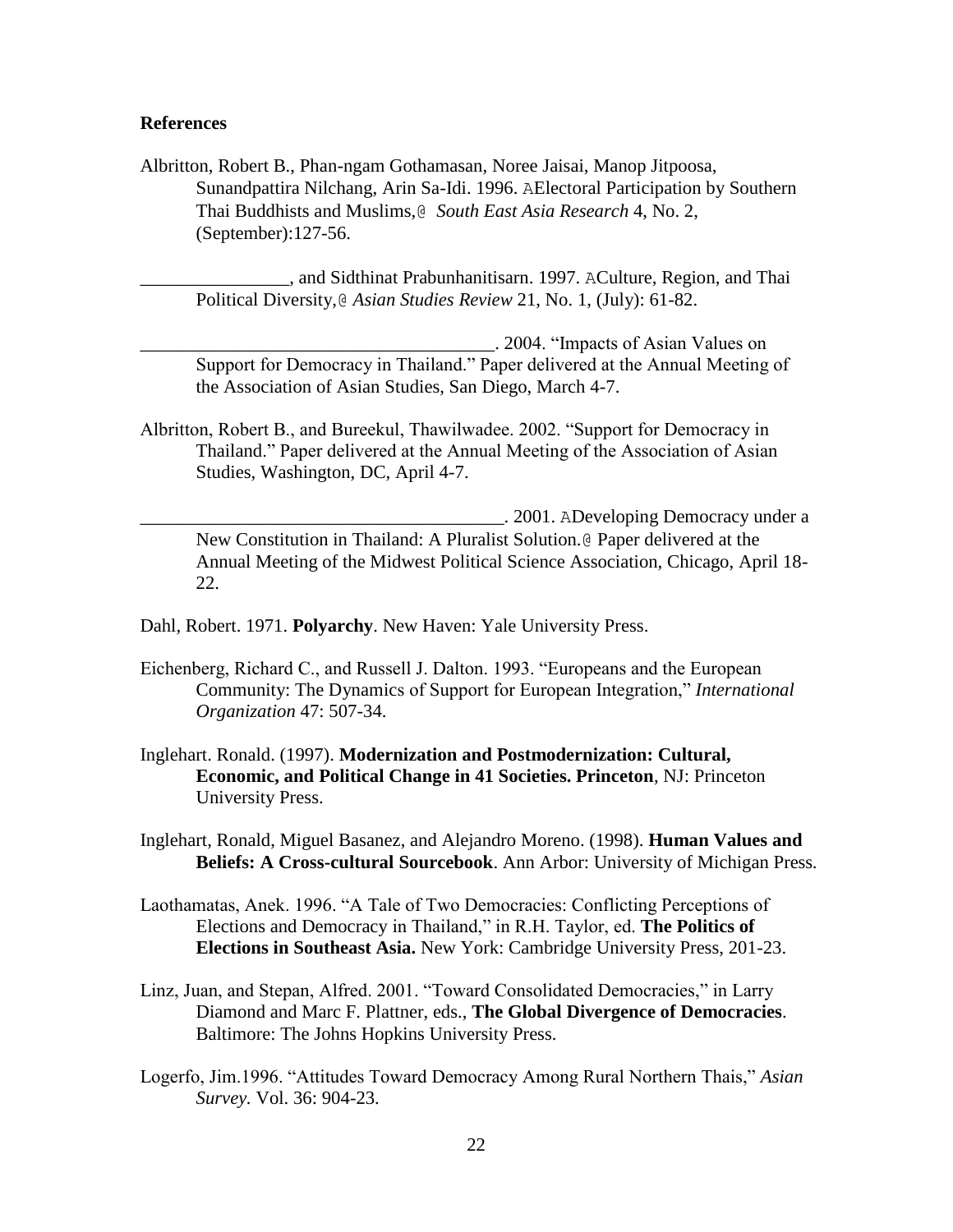#### **References**

Albritton, Robert B., Phan-ngam Gothamasan, Noree Jaisai, Manop Jitpoosa, Sunandpattira Nilchang, Arin Sa-Idi. 1996. AElectoral Participation by Southern Thai Buddhists and Muslims,@ *South East Asia Research* 4, No. 2, (September):127-56.

\_\_\_\_\_\_\_\_\_\_\_\_\_\_\_\_, and Sidthinat Prabunhanitisarn. 1997. ACulture, Region, and Thai Political Diversity,@ *Asian Studies Review* 21, No. 1, (July): 61-82.

\_\_\_\_\_\_\_\_\_\_\_\_\_\_\_\_\_\_\_\_\_\_\_\_\_\_\_\_\_\_\_\_\_\_\_\_\_\_. 2004. "Impacts of Asian Values on Support for Democracy in Thailand." Paper delivered at the Annual Meeting of the Association of Asian Studies, San Diego, March 4-7.

Albritton, Robert B., and Bureekul, Thawilwadee. 2002. "Support for Democracy in Thailand." Paper delivered at the Annual Meeting of the Association of Asian Studies, Washington, DC, April 4-7.

\_\_\_\_\_\_\_\_\_\_\_\_\_\_\_\_\_\_\_\_\_\_\_\_\_\_\_\_\_\_\_\_\_\_\_\_\_\_\_. 2001. ADeveloping Democracy under a New Constitution in Thailand: A Pluralist Solution.@ Paper delivered at the Annual Meeting of the Midwest Political Science Association, Chicago, April 18- 22.

Dahl, Robert. 1971. **Polyarchy**. New Haven: Yale University Press.

- Eichenberg, Richard C., and Russell J. Dalton. 1993. "Europeans and the European Community: The Dynamics of Support for European Integration," *International Organization* 47: 507-34.
- Inglehart. Ronald. (1997). **Modernization and Postmodernization: Cultural, Economic, and Political Change in 41 Societies. Princeton**, NJ: Princeton University Press.

Inglehart, Ronald, Miguel Basanez, and Alejandro Moreno. (1998). **Human Values and Beliefs: A Cross-cultural Sourcebook**. Ann Arbor: University of Michigan Press.

- Laothamatas, Anek. 1996. "A Tale of Two Democracies: Conflicting Perceptions of Elections and Democracy in Thailand," in R.H. Taylor, ed. **The Politics of Elections in Southeast Asia.** New York: Cambridge University Press, 201-23.
- Linz, Juan, and Stepan, Alfred. 2001. "Toward Consolidated Democracies," in Larry Diamond and Marc F. Plattner, eds., **The Global Divergence of Democracies**. Baltimore: The Johns Hopkins University Press.
- Logerfo, Jim.1996. "Attitudes Toward Democracy Among Rural Northern Thais," *Asian Survey.* Vol. 36: 904-23.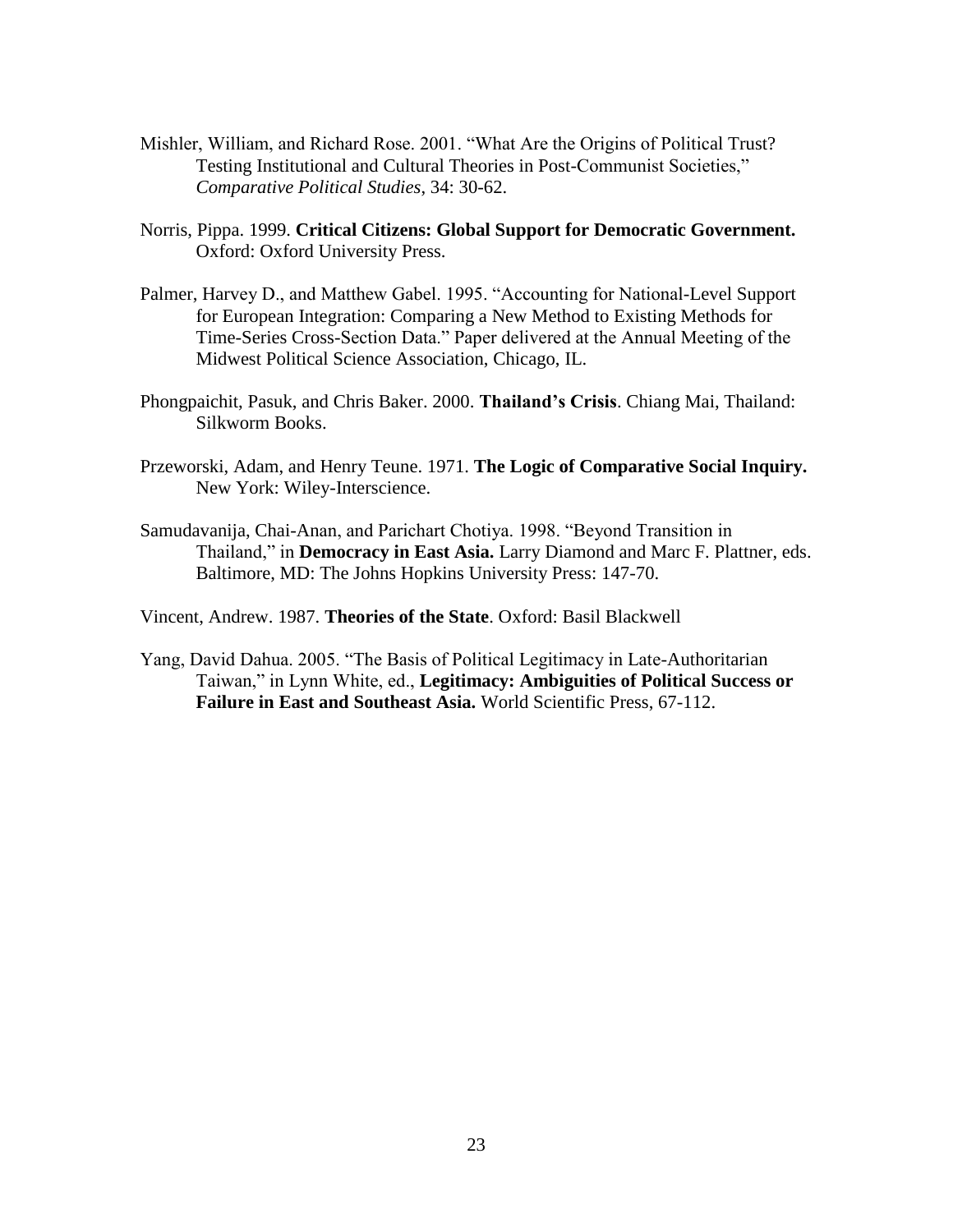- Mishler, William, and Richard Rose. 2001. "What Are the Origins of Political Trust? Testing Institutional and Cultural Theories in Post-Communist Societies," *Comparative Political Studies*, 34: 30-62.
- Norris, Pippa. 1999. **Critical Citizens: Global Support for Democratic Government.** Oxford: Oxford University Press.
- Palmer, Harvey D., and Matthew Gabel. 1995. "Accounting for National-Level Support for European Integration: Comparing a New Method to Existing Methods for Time-Series Cross-Section Data." Paper delivered at the Annual Meeting of the Midwest Political Science Association, Chicago, IL.
- Phongpaichit, Pasuk, and Chris Baker. 2000. **Thailand's Crisis**. Chiang Mai, Thailand: Silkworm Books.
- Przeworski, Adam, and Henry Teune. 1971. **The Logic of Comparative Social Inquiry.** New York: Wiley-Interscience.
- Samudavanija, Chai-Anan, and Parichart Chotiya. 1998. "Beyond Transition in Thailand," in **Democracy in East Asia.** Larry Diamond and Marc F. Plattner, eds. Baltimore, MD: The Johns Hopkins University Press: 147-70.

Vincent, Andrew. 1987. **Theories of the State**. Oxford: Basil Blackwell

Yang, David Dahua. 2005. "The Basis of Political Legitimacy in Late-Authoritarian Taiwan," in Lynn White, ed., **Legitimacy: Ambiguities of Political Success or Failure in East and Southeast Asia.** World Scientific Press, 67-112.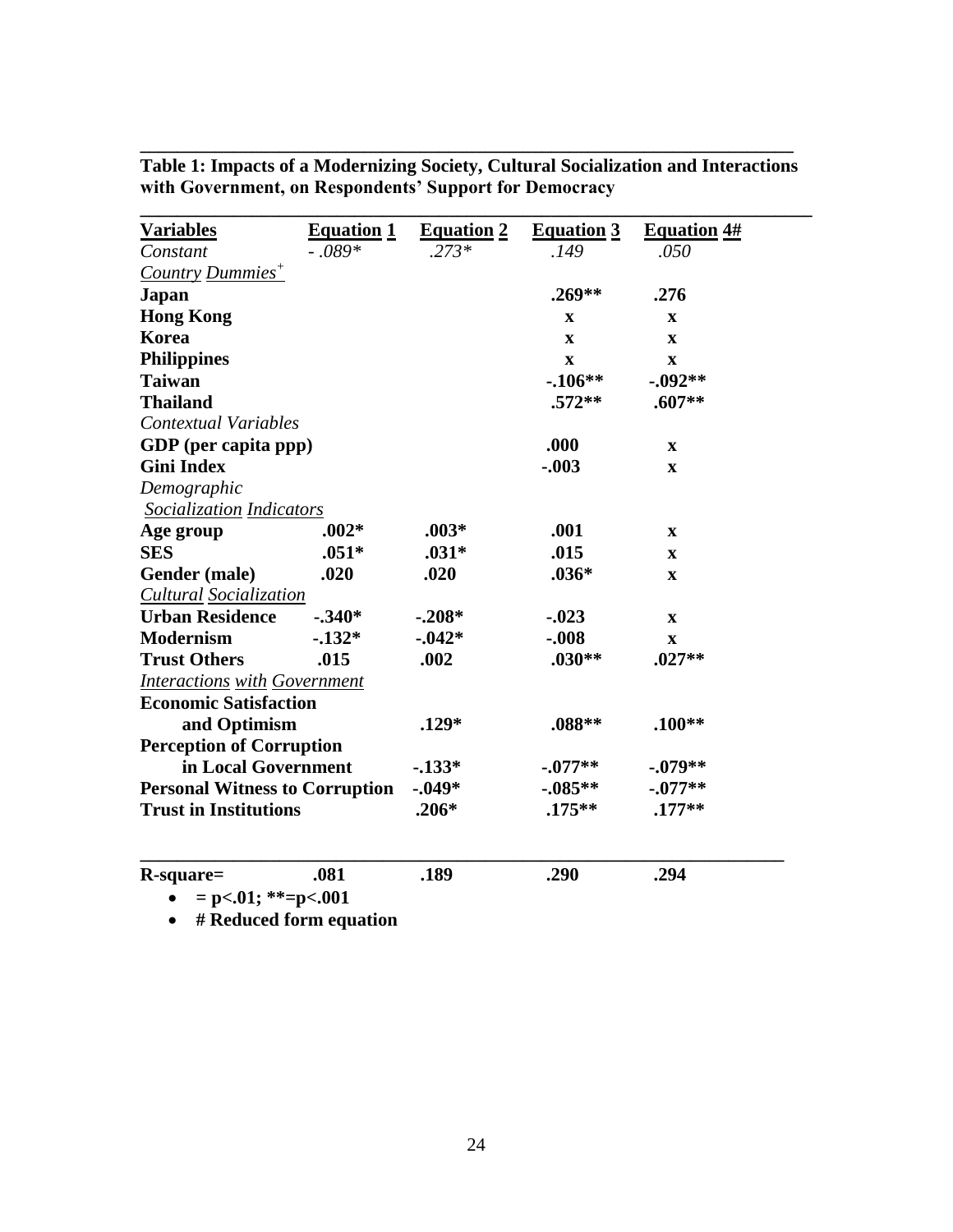| <b>Variables</b>                                                                                | <b>Equation 1</b> | <b>Equation 2</b>              | <b>Equation 3</b> | <b>Equation 4#</b>                 |
|-------------------------------------------------------------------------------------------------|-------------------|--------------------------------|-------------------|------------------------------------|
| Constant                                                                                        | $-.089*$          | $.273*$                        | .149              | .050                               |
| Country Dummies <sup>+</sup>                                                                    |                   |                                |                   |                                    |
| <b>Japan</b>                                                                                    |                   |                                | $.269**$          | .276                               |
| <b>Hong Kong</b>                                                                                |                   |                                | X                 | $\mathbf x$                        |
| Korea                                                                                           |                   |                                | $\mathbf x$       | $\mathbf x$                        |
| <b>Philippines</b>                                                                              |                   |                                | $\mathbf X$       | $\mathbf X$                        |
| <b>Taiwan</b>                                                                                   |                   |                                | $-106**$          | $-0.092**$                         |
| <b>Thailand</b>                                                                                 |                   |                                | $.572**$          | $.607**$                           |
| <b>Contextual Variables</b>                                                                     |                   |                                |                   |                                    |
| GDP (per capita ppp)                                                                            |                   |                                | .000              | $\mathbf{x}$                       |
| <b>Gini Index</b>                                                                               |                   |                                | $-.003$           | $\mathbf X$                        |
| Demographic                                                                                     |                   |                                |                   |                                    |
| Socialization Indicators                                                                        |                   |                                |                   |                                    |
| Age group                                                                                       | $.002*$           | $.003*$                        | .001              | $\mathbf X$                        |
| <b>SES</b>                                                                                      | $.051*$           | $.031*$                        | .015              | $\mathbf X$                        |
| Gender (male)                                                                                   | .020              | .020                           | $.036*$           | $\mathbf X$                        |
| Cultural Socialization                                                                          |                   |                                |                   |                                    |
| <b>Urban Residence</b>                                                                          | $-.340*$          | $-.208*$                       | $-.023$           | $\mathbf X$                        |
| <b>Modernism</b>                                                                                | $-132*$           | $-0.042*$                      | $-.008$           | $\mathbf{x}$                       |
| <b>Trust Others</b>                                                                             | .015              | .002                           | $.030**$          | $.027**$                           |
| <b>Interactions with Government</b>                                                             |                   |                                |                   |                                    |
| <b>Economic Satisfaction</b>                                                                    |                   |                                |                   |                                    |
| and Optimism                                                                                    |                   | $.129*$                        | $.088**$          | $.100**$                           |
| <b>Perception of Corruption</b><br>in Local Government<br><b>Personal Witness to Corruption</b> |                   |                                |                   | $-.079**$<br>$-.077**$<br>$.177**$ |
|                                                                                                 |                   | $-133*$<br>$-.049*$<br>$.206*$ | $-.077**$         |                                    |
|                                                                                                 |                   |                                | $-.085**$         |                                    |
| <b>Trust in Institutions</b>                                                                    |                   |                                | $.175***$         |                                    |
|                                                                                                 |                   |                                |                   |                                    |
| $R$ -square=                                                                                    | .081              | .189                           | .290              | .294                               |
| $= p<.01$ ; **=p<.001<br>$\bullet$                                                              |                   |                                |                   |                                    |

**Table 1: Impacts of a Modernizing Society, Cultural Socialization and Interactions with Government, on Respondents' Support for Democracy**

**\_\_\_\_\_\_\_\_\_\_\_\_\_\_\_\_\_\_\_\_\_\_\_\_\_\_\_\_\_\_\_\_\_\_\_\_\_\_\_\_\_\_\_\_\_\_\_\_\_\_\_\_\_\_\_\_\_\_\_\_\_\_\_\_\_\_\_\_\_\_**

**# Reduced form equation**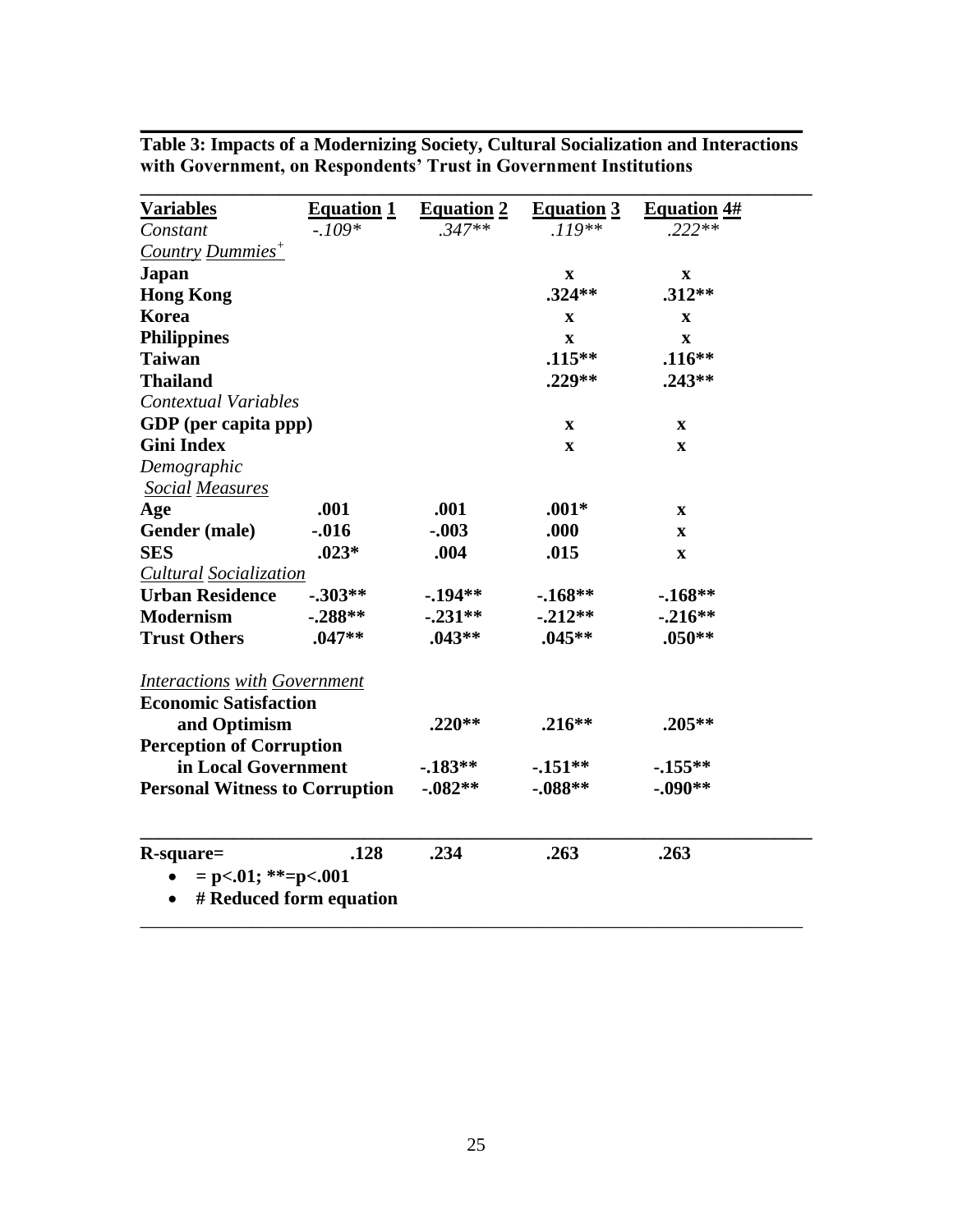| <u>Variables</u>                      | <b>Equation 1</b>       | <b>Equation 2</b> | <b>Equation 3</b>         | <b>Equation 4#</b>        |  |
|---------------------------------------|-------------------------|-------------------|---------------------------|---------------------------|--|
| Constant                              | $-.109*$                | $.347**$          | $.119**$                  | $.222**$                  |  |
| <b>Country Dummies<sup>+</sup></b>    |                         |                   |                           |                           |  |
| Japan                                 |                         |                   | $\mathbf x$               | $\mathbf x$               |  |
| <b>Hong Kong</b>                      |                         |                   | $.324**$                  | $.312**$                  |  |
| Korea                                 |                         |                   | $\mathbf X$               | $\mathbf x$               |  |
| <b>Philippines</b>                    |                         |                   | $\boldsymbol{\mathrm{X}}$ | $\boldsymbol{\mathrm{X}}$ |  |
| <b>Taiwan</b>                         |                         |                   | $.115***$                 | $.116**$                  |  |
| <b>Thailand</b>                       |                         |                   | .229**                    | $.243**$                  |  |
| Contextual Variables                  |                         |                   |                           |                           |  |
| GDP (per capita ppp)                  |                         |                   | X                         | X                         |  |
| <b>Gini Index</b>                     |                         |                   | $\mathbf X$               | $\mathbf x$               |  |
| Demographic                           |                         |                   |                           |                           |  |
| <b>Social Measures</b>                |                         |                   |                           |                           |  |
| Age                                   | .001                    | .001              | $.001*$                   | $\mathbf X$               |  |
| Gender (male)                         | $-0.016$                | $-.003$           | .000                      | $\mathbf x$               |  |
| <b>SES</b>                            | $.023*$                 | .004              | .015                      | $\boldsymbol{\mathrm{X}}$ |  |
| <b>Cultural Socialization</b>         |                         |                   |                           |                           |  |
| <b>Urban Residence</b>                | $-.303**$               | $-194**$          | $-168**$                  | $-168**$                  |  |
| <b>Modernism</b>                      | $-.288**$               | $-.231**$         | $-.212**$                 | $-.216**$                 |  |
| <b>Trust Others</b>                   | $.047**$                | $.043**$          | $.045**$                  | $.050**$                  |  |
| <b>Interactions with Government</b>   |                         |                   |                           |                           |  |
| <b>Economic Satisfaction</b>          |                         |                   |                           |                           |  |
| and Optimism                          |                         | $.220**$          | $.216**$                  | $.205**$                  |  |
| <b>Perception of Corruption</b>       |                         |                   |                           |                           |  |
| in Local Government                   |                         | $-183**$          | $-151**$                  | $-155**$                  |  |
| <b>Personal Witness to Corruption</b> |                         | $-0.082**$        | $-.088**$                 | $-.090**$                 |  |
|                                       |                         |                   |                           |                           |  |
| R-square=                             | .128                    | .234              | .263                      | .263                      |  |
| $= p<.01$ ; **=p<.001                 |                         |                   |                           |                           |  |
|                                       | # Reduced form equation |                   |                           |                           |  |
|                                       |                         |                   |                           |                           |  |

**Table 3: Impacts of a Modernizing Society, Cultural Socialization and Interactions with Government, on Respondents' Trust in Government Institutions**

**\_\_\_\_\_\_\_\_\_\_\_\_\_\_\_\_\_\_\_\_\_\_\_\_\_\_\_\_\_\_\_\_\_\_\_\_\_\_\_\_\_\_\_\_\_\_\_\_\_\_\_\_\_\_\_\_\_\_\_\_\_\_\_\_\_\_\_\_\_\_\_**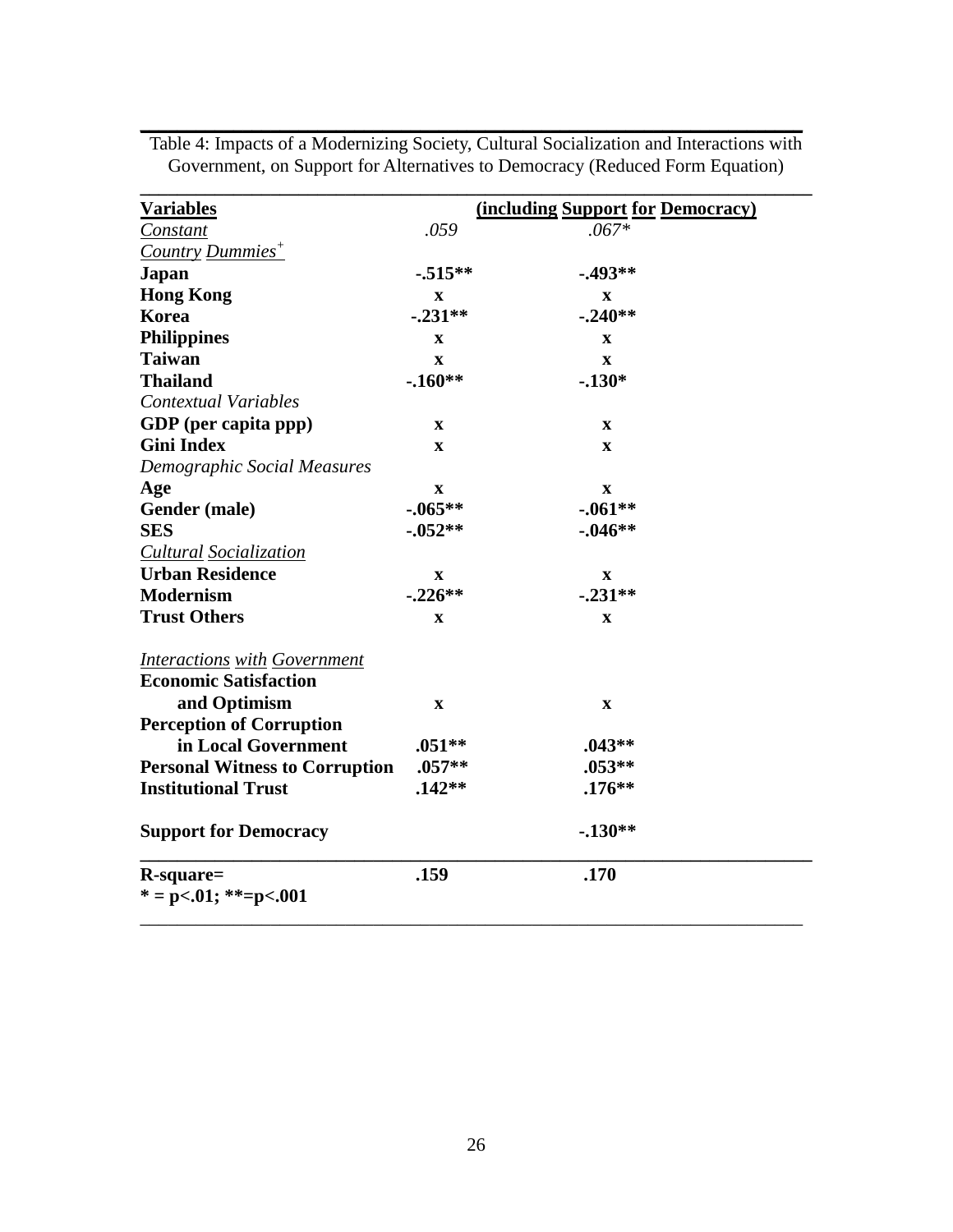| <u>Variables</u>                      |             | <b>(including Support for Democracy)</b> |
|---------------------------------------|-------------|------------------------------------------|
| Constant                              | .059        | $.067*$                                  |
| <b>Country Dummies<sup>+</sup></b>    |             |                                          |
| <b>Japan</b>                          | $-0.515**$  | $-0.493**$                               |
| <b>Hong Kong</b>                      | $\mathbf X$ | $\mathbf X$                              |
| <b>Korea</b>                          | $-.231**$   | $-.240**$                                |
| <b>Philippines</b>                    | X           | $\mathbf X$                              |
| <b>Taiwan</b>                         | $\mathbf x$ | $\mathbf X$                              |
| <b>Thailand</b>                       | $-.160**$   | $-.130*$                                 |
| <b>Contextual Variables</b>           |             |                                          |
| GDP (per capita ppp)                  | $\mathbf X$ | $\mathbf X$                              |
| <b>Gini Index</b>                     | $\mathbf X$ | $\mathbf X$                              |
| Demographic Social Measures           |             |                                          |
| Age                                   | $\mathbf X$ | $\mathbf X$                              |
| Gender (male)                         | $-.065**$   | $-.061**$                                |
| <b>SES</b>                            | $-0.052**$  | $-0.046**$                               |
| <b>Cultural Socialization</b>         |             |                                          |
| <b>Urban Residence</b>                | X           | X                                        |
| <b>Modernism</b>                      | $-.226**$   | $-.231**$                                |
| <b>Trust Others</b>                   | X           | $\mathbf X$                              |
| <b>Interactions with Government</b>   |             |                                          |
| <b>Economic Satisfaction</b>          |             |                                          |
| and Optimism                          | $\mathbf X$ | $\mathbf X$                              |
| <b>Perception of Corruption</b>       |             |                                          |
| in Local Government                   | $.051**$    | $.043**$                                 |
| <b>Personal Witness to Corruption</b> | $.057**$    | $.053**$                                 |
| <b>Institutional Trust</b>            | $.142**$    | $.176**$                                 |
| <b>Support for Democracy</b>          |             | $-.130**$                                |
| $R$ -square=<br>* = p<.01; **=p<.001  | .159        | .170                                     |

Table 4: Impacts of a Modernizing Society, Cultural Socialization and Interactions with Government, on Support for Alternatives to Democracy (Reduced Form Equation)

**\_\_\_\_\_\_\_\_\_\_\_\_\_\_\_\_\_\_\_\_\_\_\_\_\_\_\_\_\_\_\_\_\_\_\_\_\_\_\_\_\_\_\_\_\_\_\_\_\_\_\_\_\_\_\_\_\_\_\_\_\_\_\_\_\_\_\_\_\_\_\_**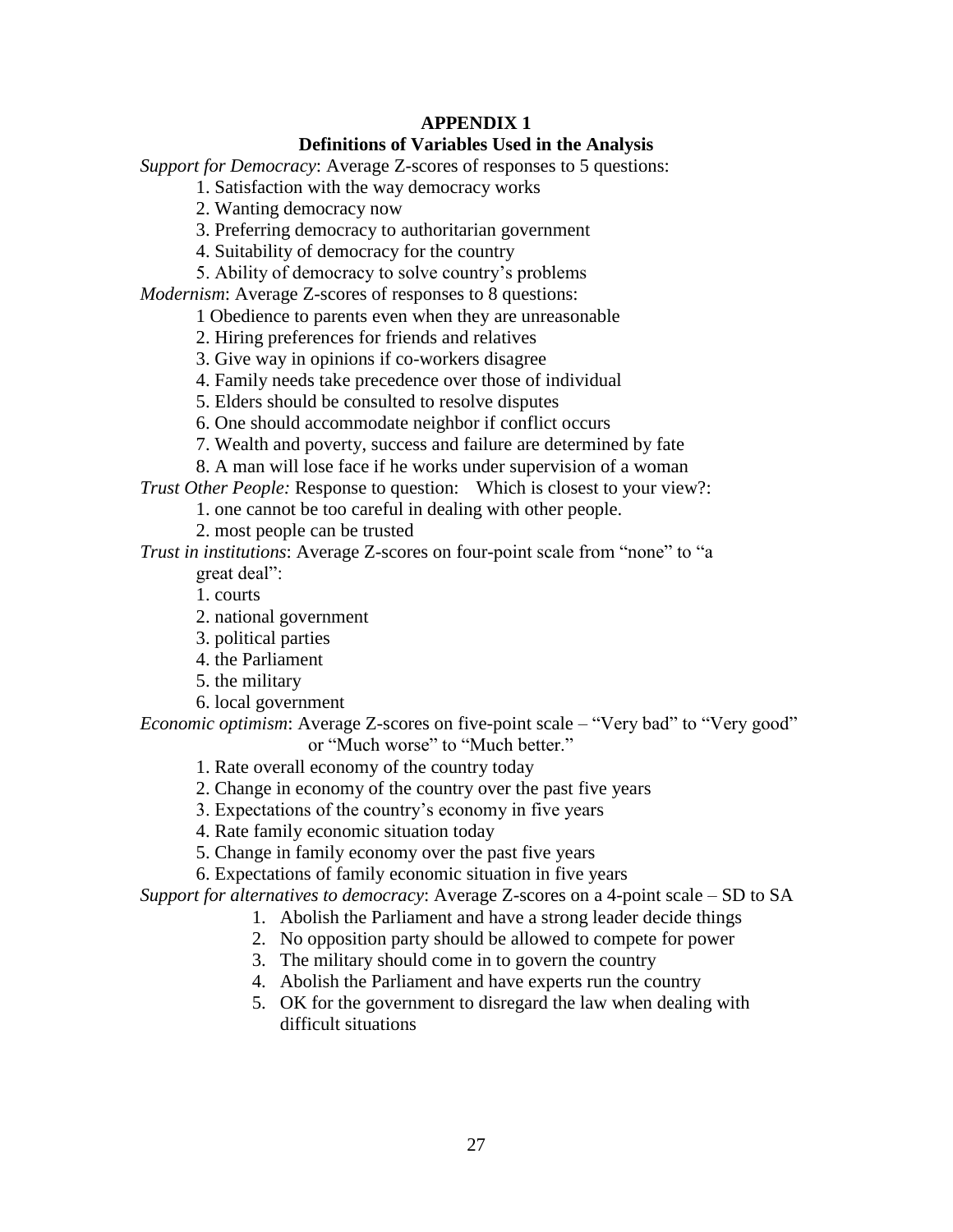# **APPENDIX 1**

## **Definitions of Variables Used in the Analysis**

*Support for Democracy*: Average Z-scores of responses to 5 questions:

1. Satisfaction with the way democracy works

2. Wanting democracy now

3. Preferring democracy to authoritarian government

4. Suitability of democracy for the country

5. Ability of democracy to solve country's problems

*Modernism*: Average Z-scores of responses to 8 questions:

1 Obedience to parents even when they are unreasonable

2. Hiring preferences for friends and relatives

3. Give way in opinions if co-workers disagree

4. Family needs take precedence over those of individual

5. Elders should be consulted to resolve disputes

6. One should accommodate neighbor if conflict occurs

7. Wealth and poverty, success and failure are determined by fate

8. A man will lose face if he works under supervision of a woman

*Trust Other People:* Response to question: Which is closest to your view?:

1. one cannot be too careful in dealing with other people.

2. most people can be trusted

*Trust in institutions*: Average Z-scores on four-point scale from "none" to "a great deal":

1. courts

2. national government

3. political parties

4. the Parliament

5. the military

6. local government

*Economic optimism*: Average Z-scores on five-point scale – "Very bad" to "Very good"

or "Much worse" to "Much better."

1. Rate overall economy of the country today

2. Change in economy of the country over the past five years

3. Expectations of the country's economy in five years

4. Rate family economic situation today

5. Change in family economy over the past five years

6. Expectations of family economic situation in five years

*Support for alternatives to democracy*: Average Z-scores on a 4-point scale – SD to SA

1. Abolish the Parliament and have a strong leader decide things

2. No opposition party should be allowed to compete for power

3. The military should come in to govern the country

4. Abolish the Parliament and have experts run the country

5. OK for the government to disregard the law when dealing with difficult situations